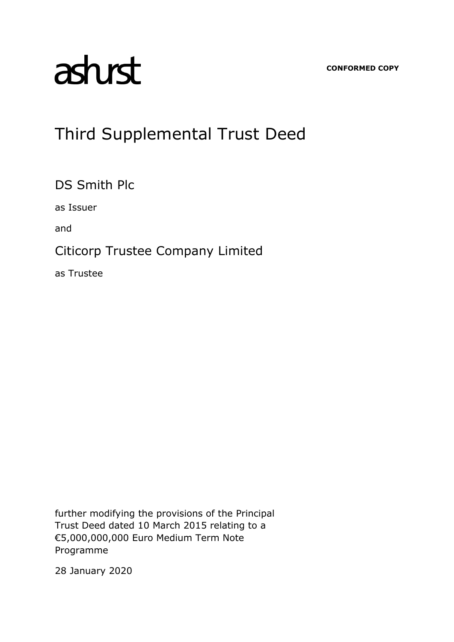**CONFORMED COPY**

# asturst

## Third Supplemental Trust Deed

DS Smith Plc

as Issuer

and

### Citicorp Trustee Company Limited

as Trustee

further modifying the provisions of the Principal Trust Deed dated 10 March 2015 relating to a €5,000,000,000 Euro Medium Term Note Programme

28 January 2020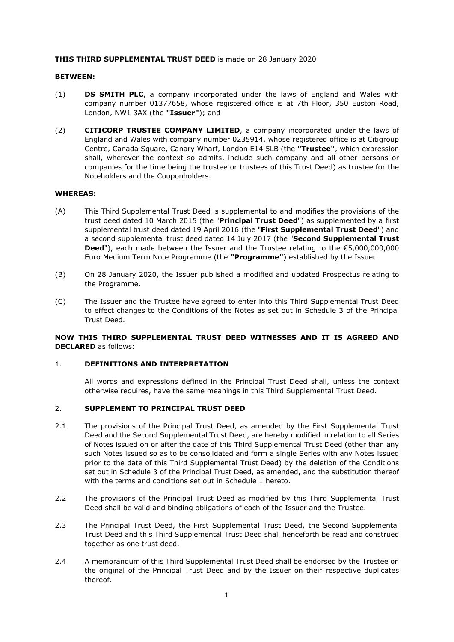#### **THIS THIRD SUPPLEMENTAL TRUST DEED** is made on 28 January 2020

#### **BETWEEN:**

- (1) **DS SMITH PLC**, a company incorporated under the laws of England and Wales with company number 01377658, whose registered office is at 7th Floor, 350 Euston Road, London, NW1 3AX (the **"Issuer"**); and
- (2) **CITICORP TRUSTEE COMPANY LIMITED**, a company incorporated under the laws of England and Wales with company number 0235914, whose registered office is at Citigroup Centre, Canada Square, Canary Wharf, London E14 5LB (the **"Trustee"**, which expression shall, wherever the context so admits, include such company and all other persons or companies for the time being the trustee or trustees of this Trust Deed) as trustee for the Noteholders and the Couponholders.

#### **WHEREAS:**

- (A) This Third Supplemental Trust Deed is supplemental to and modifies the provisions of the trust deed dated 10 March 2015 (the "**Principal Trust Deed**") as supplemented by a first supplemental trust deed dated 19 April 2016 (the "**First Supplemental Trust Deed**") and a second supplemental trust deed dated 14 July 2017 (the "**Second Supplemental Trust Deed**"), each made between the Issuer and the Trustee relating to the €5,000,000,000 Euro Medium Term Note Programme (the **"Programme"**) established by the Issuer.
- (B) On 28 January 2020, the Issuer published a modified and updated Prospectus relating to the Programme.
- (C) The Issuer and the Trustee have agreed to enter into this Third Supplemental Trust Deed to effect changes to the Conditions of the Notes as set out in Schedule 3 of the Principal Trust Deed.

**NOW THIS THIRD SUPPLEMENTAL TRUST DEED WITNESSES AND IT IS AGREED AND DECLARED** as follows:

#### 1. **DEFINITIONS AND INTERPRETATION**

All words and expressions defined in the Principal Trust Deed shall, unless the context otherwise requires, have the same meanings in this Third Supplemental Trust Deed.

#### 2. **SUPPLEMENT TO PRINCIPAL TRUST DEED**

- 2.1 The provisions of the Principal Trust Deed, as amended by the First Supplemental Trust Deed and the Second Supplemental Trust Deed, are hereby modified in relation to all Series of Notes issued on or after the date of this Third Supplemental Trust Deed (other than any such Notes issued so as to be consolidated and form a single Series with any Notes issued prior to the date of this Third Supplemental Trust Deed) by the deletion of the Conditions set out in Schedule 3 of the Principal Trust Deed, as amended, and the substitution thereof with the terms and conditions set out in Schedule 1 hereto.
- 2.2 The provisions of the Principal Trust Deed as modified by this Third Supplemental Trust Deed shall be valid and binding obligations of each of the Issuer and the Trustee.
- 2.3 The Principal Trust Deed, the First Supplemental Trust Deed, the Second Supplemental Trust Deed and this Third Supplemental Trust Deed shall henceforth be read and construed together as one trust deed.
- 2.4 A memorandum of this Third Supplemental Trust Deed shall be endorsed by the Trustee on the original of the Principal Trust Deed and by the Issuer on their respective duplicates thereof.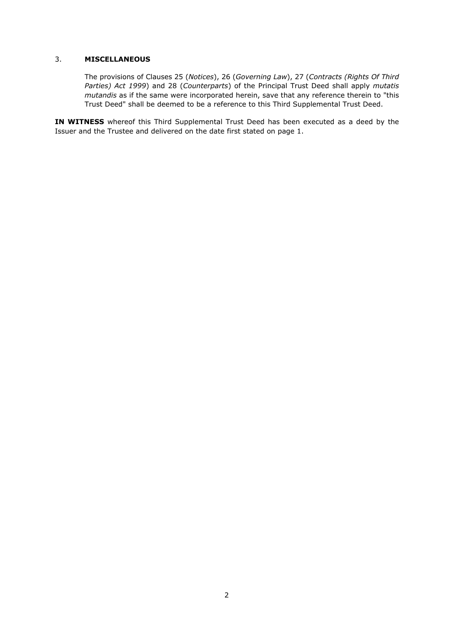#### 3. **MISCELLANEOUS**

The provisions of Clauses 25 (*Notices*), 26 (*Governing Law*), 27 (*Contracts (Rights Of Third Parties) Act 1999*) and 28 (*Counterparts*) of the Principal Trust Deed shall apply *mutatis mutandis* as if the same were incorporated herein, save that any reference therein to "this Trust Deed" shall be deemed to be a reference to this Third Supplemental Trust Deed.

**IN WITNESS** whereof this Third Supplemental Trust Deed has been executed as a deed by the Issuer and the Trustee and delivered on the date first stated on page 1.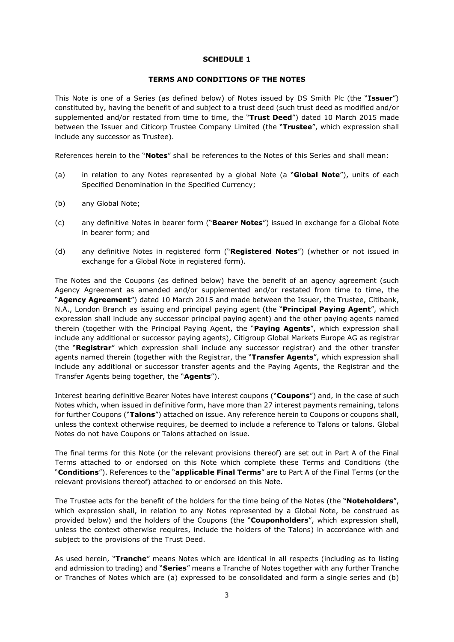#### **SCHEDULE 1**

#### **TERMS AND CONDITIONS OF THE NOTES**

This Note is one of a Series (as defined below) of Notes issued by DS Smith Plc (the "**Issuer**") constituted by, having the benefit of and subject to a trust deed (such trust deed as modified and/or supplemented and/or restated from time to time, the "**Trust Deed**") dated 10 March 2015 made between the Issuer and Citicorp Trustee Company Limited (the "**Trustee**", which expression shall include any successor as Trustee).

References herein to the "**Notes**" shall be references to the Notes of this Series and shall mean:

- (a) in relation to any Notes represented by a global Note (a "**Global Note**"), units of each Specified Denomination in the Specified Currency;
- (b) any Global Note;
- (c) any definitive Notes in bearer form ("**Bearer Notes**") issued in exchange for a Global Note in bearer form; and
- (d) any definitive Notes in registered form ("**Registered Notes**") (whether or not issued in exchange for a Global Note in registered form).

The Notes and the Coupons (as defined below) have the benefit of an agency agreement (such Agency Agreement as amended and/or supplemented and/or restated from time to time, the "**Agency Agreement**") dated 10 March 2015 and made between the Issuer, the Trustee, Citibank, N.A., London Branch as issuing and principal paying agent (the "**Principal Paying Agent**", which expression shall include any successor principal paying agent) and the other paying agents named therein (together with the Principal Paying Agent, the "**Paying Agents**", which expression shall include any additional or successor paying agents), Citigroup Global Markets Europe AG as registrar (the "**Registrar**" which expression shall include any successor registrar) and the other transfer agents named therein (together with the Registrar, the "**Transfer Agents**", which expression shall include any additional or successor transfer agents and the Paying Agents, the Registrar and the Transfer Agents being together, the "**Agents**").

Interest bearing definitive Bearer Notes have interest coupons ("**Coupons**") and, in the case of such Notes which, when issued in definitive form, have more than 27 interest payments remaining, talons for further Coupons ("**Talons**") attached on issue. Any reference herein to Coupons or coupons shall, unless the context otherwise requires, be deemed to include a reference to Talons or talons. Global Notes do not have Coupons or Talons attached on issue.

The final terms for this Note (or the relevant provisions thereof) are set out in Part A of the Final Terms attached to or endorsed on this Note which complete these Terms and Conditions (the "**Conditions**"). References to the "**applicable Final Terms**" are to Part A of the Final Terms (or the relevant provisions thereof) attached to or endorsed on this Note.

The Trustee acts for the benefit of the holders for the time being of the Notes (the "**Noteholders**", which expression shall, in relation to any Notes represented by a Global Note, be construed as provided below) and the holders of the Coupons (the "**Couponholders**", which expression shall, unless the context otherwise requires, include the holders of the Talons) in accordance with and subject to the provisions of the Trust Deed.

As used herein, "**Tranche**" means Notes which are identical in all respects (including as to listing and admission to trading) and "**Series**" means a Tranche of Notes together with any further Tranche or Tranches of Notes which are (a) expressed to be consolidated and form a single series and (b)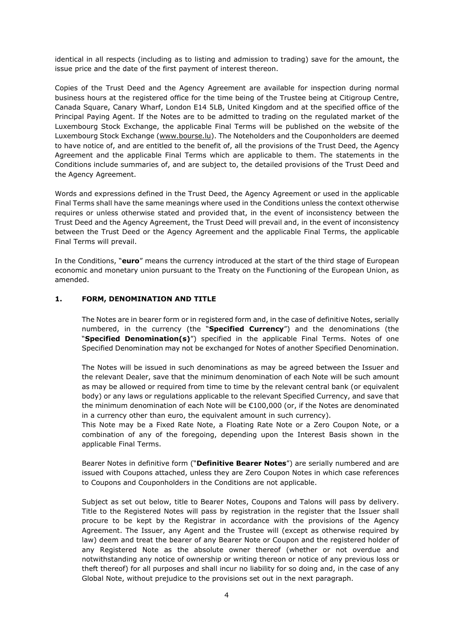identical in all respects (including as to listing and admission to trading) save for the amount, the issue price and the date of the first payment of interest thereon.

Copies of the Trust Deed and the Agency Agreement are available for inspection during normal business hours at the registered office for the time being of the Trustee being at Citigroup Centre, Canada Square, Canary Wharf, London E14 5LB, United Kingdom and at the specified office of the Principal Paying Agent. If the Notes are to be admitted to trading on the regulated market of the Luxembourg Stock Exchange, the applicable Final Terms will be published on the website of the Luxembourg Stock Exchange (www.bourse.lu). The Noteholders and the Couponholders are deemed to have notice of, and are entitled to the benefit of, all the provisions of the Trust Deed, the Agency Agreement and the applicable Final Terms which are applicable to them. The statements in the Conditions include summaries of, and are subject to, the detailed provisions of the Trust Deed and the Agency Agreement.

Words and expressions defined in the Trust Deed, the Agency Agreement or used in the applicable Final Terms shall have the same meanings where used in the Conditions unless the context otherwise requires or unless otherwise stated and provided that, in the event of inconsistency between the Trust Deed and the Agency Agreement, the Trust Deed will prevail and, in the event of inconsistency between the Trust Deed or the Agency Agreement and the applicable Final Terms, the applicable Final Terms will prevail.

In the Conditions, "**euro**" means the currency introduced at the start of the third stage of European economic and monetary union pursuant to the Treaty on the Functioning of the European Union, as amended.

#### **1. FORM, DENOMINATION AND TITLE**

The Notes are in bearer form or in registered form and, in the case of definitive Notes, serially numbered, in the currency (the "**Specified Currency**") and the denominations (the "**Specified Denomination(s)**") specified in the applicable Final Terms. Notes of one Specified Denomination may not be exchanged for Notes of another Specified Denomination.

The Notes will be issued in such denominations as may be agreed between the Issuer and the relevant Dealer, save that the minimum denomination of each Note will be such amount as may be allowed or required from time to time by the relevant central bank (or equivalent body) or any laws or regulations applicable to the relevant Specified Currency, and save that the minimum denomination of each Note will be €100,000 (or, if the Notes are denominated in a currency other than euro, the equivalent amount in such currency).

This Note may be a Fixed Rate Note, a Floating Rate Note or a Zero Coupon Note, or a combination of any of the foregoing, depending upon the Interest Basis shown in the applicable Final Terms.

Bearer Notes in definitive form ("**Definitive Bearer Notes**") are serially numbered and are issued with Coupons attached, unless they are Zero Coupon Notes in which case references to Coupons and Couponholders in the Conditions are not applicable.

Subject as set out below, title to Bearer Notes, Coupons and Talons will pass by delivery. Title to the Registered Notes will pass by registration in the register that the Issuer shall procure to be kept by the Registrar in accordance with the provisions of the Agency Agreement. The Issuer, any Agent and the Trustee will (except as otherwise required by law) deem and treat the bearer of any Bearer Note or Coupon and the registered holder of any Registered Note as the absolute owner thereof (whether or not overdue and notwithstanding any notice of ownership or writing thereon or notice of any previous loss or theft thereof) for all purposes and shall incur no liability for so doing and, in the case of any Global Note, without prejudice to the provisions set out in the next paragraph.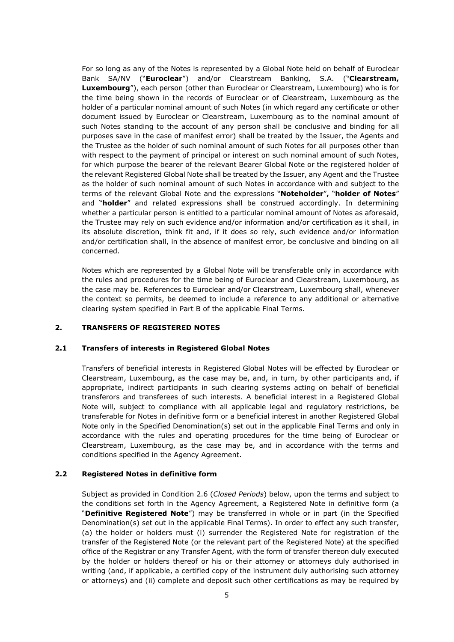For so long as any of the Notes is represented by a Global Note held on behalf of Euroclear Bank SA/NV ("**Euroclear**") and/or Clearstream Banking, S.A. ("**Clearstream, Luxembourg**"), each person (other than Euroclear or Clearstream, Luxembourg) who is for the time being shown in the records of Euroclear or of Clearstream, Luxembourg as the holder of a particular nominal amount of such Notes (in which regard any certificate or other document issued by Euroclear or Clearstream, Luxembourg as to the nominal amount of such Notes standing to the account of any person shall be conclusive and binding for all purposes save in the case of manifest error) shall be treated by the Issuer, the Agents and the Trustee as the holder of such nominal amount of such Notes for all purposes other than with respect to the payment of principal or interest on such nominal amount of such Notes, for which purpose the bearer of the relevant Bearer Global Note or the registered holder of the relevant Registered Global Note shall be treated by the Issuer, any Agent and the Trustee as the holder of such nominal amount of such Notes in accordance with and subject to the terms of the relevant Global Note and the expressions "**Noteholder**"**,** "**holder of Notes**" and "**holder**" and related expressions shall be construed accordingly. In determining whether a particular person is entitled to a particular nominal amount of Notes as aforesaid, the Trustee may rely on such evidence and/or information and/or certification as it shall, in its absolute discretion, think fit and, if it does so rely, such evidence and/or information and/or certification shall, in the absence of manifest error, be conclusive and binding on all concerned.

Notes which are represented by a Global Note will be transferable only in accordance with the rules and procedures for the time being of Euroclear and Clearstream, Luxembourg, as the case may be. References to Euroclear and/or Clearstream, Luxembourg shall, whenever the context so permits, be deemed to include a reference to any additional or alternative clearing system specified in Part B of the applicable Final Terms.

#### **2. TRANSFERS OF REGISTERED NOTES**

#### **2.1 Transfers of interests in Registered Global Notes**

Transfers of beneficial interests in Registered Global Notes will be effected by Euroclear or Clearstream, Luxembourg, as the case may be, and, in turn, by other participants and, if appropriate, indirect participants in such clearing systems acting on behalf of beneficial transferors and transferees of such interests. A beneficial interest in a Registered Global Note will, subject to compliance with all applicable legal and regulatory restrictions, be transferable for Notes in definitive form or a beneficial interest in another Registered Global Note only in the Specified Denomination(s) set out in the applicable Final Terms and only in accordance with the rules and operating procedures for the time being of Euroclear or Clearstream, Luxembourg, as the case may be, and in accordance with the terms and conditions specified in the Agency Agreement.

#### **2.2 Registered Notes in definitive form**

Subject as provided in Condition 2.6 (*Closed Periods*) below, upon the terms and subject to the conditions set forth in the Agency Agreement, a Registered Note in definitive form (a "**Definitive Registered Note**") may be transferred in whole or in part (in the Specified Denomination(s) set out in the applicable Final Terms). In order to effect any such transfer, (a) the holder or holders must (i) surrender the Registered Note for registration of the transfer of the Registered Note (or the relevant part of the Registered Note) at the specified office of the Registrar or any Transfer Agent, with the form of transfer thereon duly executed by the holder or holders thereof or his or their attorney or attorneys duly authorised in writing (and, if applicable, a certified copy of the instrument duly authorising such attorney or attorneys) and (ii) complete and deposit such other certifications as may be required by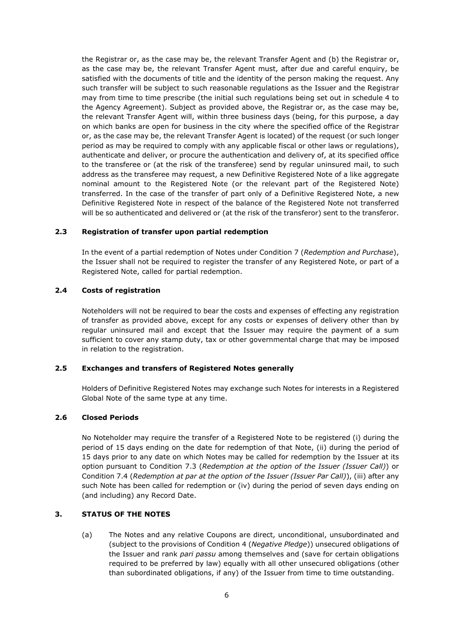the Registrar or, as the case may be, the relevant Transfer Agent and (b) the Registrar or, as the case may be, the relevant Transfer Agent must, after due and careful enquiry, be satisfied with the documents of title and the identity of the person making the request. Any such transfer will be subject to such reasonable regulations as the Issuer and the Registrar may from time to time prescribe (the initial such regulations being set out in schedule 4 to the Agency Agreement). Subject as provided above, the Registrar or, as the case may be, the relevant Transfer Agent will, within three business days (being, for this purpose, a day on which banks are open for business in the city where the specified office of the Registrar or, as the case may be, the relevant Transfer Agent is located) of the request (or such longer period as may be required to comply with any applicable fiscal or other laws or regulations), authenticate and deliver, or procure the authentication and delivery of, at its specified office to the transferee or (at the risk of the transferee) send by regular uninsured mail, to such address as the transferee may request, a new Definitive Registered Note of a like aggregate nominal amount to the Registered Note (or the relevant part of the Registered Note) transferred. In the case of the transfer of part only of a Definitive Registered Note, a new Definitive Registered Note in respect of the balance of the Registered Note not transferred will be so authenticated and delivered or (at the risk of the transferor) sent to the transferor.

#### **2.3 Registration of transfer upon partial redemption**

In the event of a partial redemption of Notes under Condition 7 (*Redemption and Purchase*), the Issuer shall not be required to register the transfer of any Registered Note, or part of a Registered Note, called for partial redemption.

#### **2.4 Costs of registration**

Noteholders will not be required to bear the costs and expenses of effecting any registration of transfer as provided above, except for any costs or expenses of delivery other than by regular uninsured mail and except that the Issuer may require the payment of a sum sufficient to cover any stamp duty, tax or other governmental charge that may be imposed in relation to the registration.

#### **2.5 Exchanges and transfers of Registered Notes generally**

Holders of Definitive Registered Notes may exchange such Notes for interests in a Registered Global Note of the same type at any time.

#### **2.6 Closed Periods**

No Noteholder may require the transfer of a Registered Note to be registered (i) during the period of 15 days ending on the date for redemption of that Note, (ii) during the period of 15 days prior to any date on which Notes may be called for redemption by the Issuer at its option pursuant to Condition 7.3 (*Redemption at the option of the Issuer (Issuer Call)*) or Condition 7.4 (*Redemption at par at the option of the Issuer (Issuer Par Call)*), (iii) after any such Note has been called for redemption or (iv) during the period of seven days ending on (and including) any Record Date.

#### **3. STATUS OF THE NOTES**

(a) The Notes and any relative Coupons are direct, unconditional, unsubordinated and (subject to the provisions of Condition 4 (*Negative Pledge*)) unsecured obligations of the Issuer and rank *pari passu* among themselves and (save for certain obligations required to be preferred by law) equally with all other unsecured obligations (other than subordinated obligations, if any) of the Issuer from time to time outstanding.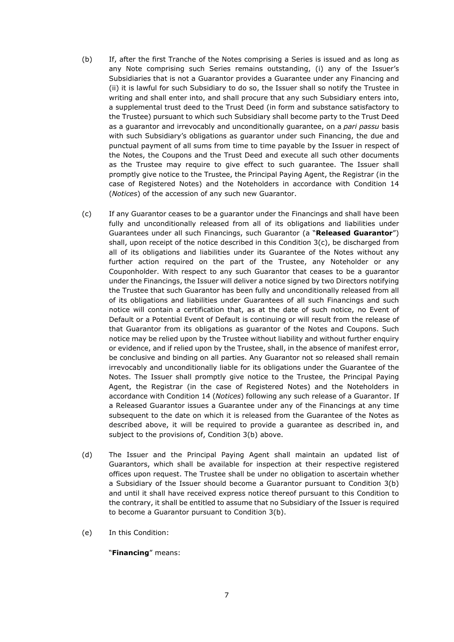- (b) If, after the first Tranche of the Notes comprising a Series is issued and as long as any Note comprising such Series remains outstanding, (i) any of the Issuer's Subsidiaries that is not a Guarantor provides a Guarantee under any Financing and (ii) it is lawful for such Subsidiary to do so, the Issuer shall so notify the Trustee in writing and shall enter into, and shall procure that any such Subsidiary enters into, a supplemental trust deed to the Trust Deed (in form and substance satisfactory to the Trustee) pursuant to which such Subsidiary shall become party to the Trust Deed as a guarantor and irrevocably and unconditionally guarantee, on a *pari passu* basis with such Subsidiary's obligations as guarantor under such Financing, the due and punctual payment of all sums from time to time payable by the Issuer in respect of the Notes, the Coupons and the Trust Deed and execute all such other documents as the Trustee may require to give effect to such guarantee. The Issuer shall promptly give notice to the Trustee, the Principal Paying Agent, the Registrar (in the case of Registered Notes) and the Noteholders in accordance with Condition 14 (*Notices*) of the accession of any such new Guarantor.
- (c) If any Guarantor ceases to be a guarantor under the Financings and shall have been fully and unconditionally released from all of its obligations and liabilities under Guarantees under all such Financings, such Guarantor (a "**Released Guarantor**") shall, upon receipt of the notice described in this Condition  $3(c)$ , be discharged from all of its obligations and liabilities under its Guarantee of the Notes without any further action required on the part of the Trustee, any Noteholder or any Couponholder. With respect to any such Guarantor that ceases to be a guarantor under the Financings, the Issuer will deliver a notice signed by two Directors notifying the Trustee that such Guarantor has been fully and unconditionally released from all of its obligations and liabilities under Guarantees of all such Financings and such notice will contain a certification that, as at the date of such notice, no Event of Default or a Potential Event of Default is continuing or will result from the release of that Guarantor from its obligations as guarantor of the Notes and Coupons. Such notice may be relied upon by the Trustee without liability and without further enquiry or evidence, and if relied upon by the Trustee, shall, in the absence of manifest error, be conclusive and binding on all parties. Any Guarantor not so released shall remain irrevocably and unconditionally liable for its obligations under the Guarantee of the Notes. The Issuer shall promptly give notice to the Trustee, the Principal Paying Agent, the Registrar (in the case of Registered Notes) and the Noteholders in accordance with Condition 14 (*Notices*) following any such release of a Guarantor. If a Released Guarantor issues a Guarantee under any of the Financings at any time subsequent to the date on which it is released from the Guarantee of the Notes as described above, it will be required to provide a guarantee as described in, and subject to the provisions of, Condition 3(b) above.
- (d) The Issuer and the Principal Paying Agent shall maintain an updated list of Guarantors, which shall be available for inspection at their respective registered offices upon request. The Trustee shall be under no obligation to ascertain whether a Subsidiary of the Issuer should become a Guarantor pursuant to Condition 3(b) and until it shall have received express notice thereof pursuant to this Condition to the contrary, it shall be entitled to assume that no Subsidiary of the Issuer is required to become a Guarantor pursuant to Condition 3(b).
- (e) In this Condition:

#### "**Financing**" means: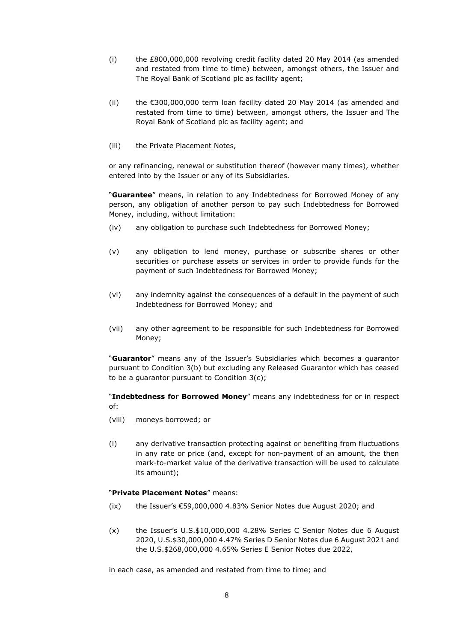- (i) the £800,000,000 revolving credit facility dated 20 May 2014 (as amended and restated from time to time) between, amongst others, the Issuer and The Royal Bank of Scotland plc as facility agent;
- (ii) the  $\epsilon$ 300,000,000 term loan facility dated 20 May 2014 (as amended and restated from time to time) between, amongst others, the Issuer and The Royal Bank of Scotland plc as facility agent; and
- (iii) the Private Placement Notes,

or any refinancing, renewal or substitution thereof (however many times), whether entered into by the Issuer or any of its Subsidiaries.

"**Guarantee**" means, in relation to any Indebtedness for Borrowed Money of any person, any obligation of another person to pay such Indebtedness for Borrowed Money, including, without limitation:

- (iv) any obligation to purchase such Indebtedness for Borrowed Money;
- (v) any obligation to lend money, purchase or subscribe shares or other securities or purchase assets or services in order to provide funds for the payment of such Indebtedness for Borrowed Money;
- (vi) any indemnity against the consequences of a default in the payment of such Indebtedness for Borrowed Money; and
- (vii) any other agreement to be responsible for such Indebtedness for Borrowed Money;

"**Guarantor**" means any of the Issuer's Subsidiaries which becomes a guarantor pursuant to Condition 3(b) but excluding any Released Guarantor which has ceased to be a guarantor pursuant to Condition 3(c);

"**Indebtedness for Borrowed Money**" means any indebtedness for or in respect of:

- (viii) moneys borrowed; or
- (i) any derivative transaction protecting against or benefiting from fluctuations in any rate or price (and, except for non-payment of an amount, the then mark-to-market value of the derivative transaction will be used to calculate its amount);

#### "**Private Placement Notes**" means:

- (ix) the Issuer's €59,000,000 4.83% Senior Notes due August 2020; and
- (x) the Issuer's U.S.\$10,000,000 4.28% Series C Senior Notes due 6 August 2020, U.S.\$30,000,000 4.47% Series D Senior Notes due 6 August 2021 and the U.S.\$268,000,000 4.65% Series E Senior Notes due 2022,

in each case, as amended and restated from time to time; and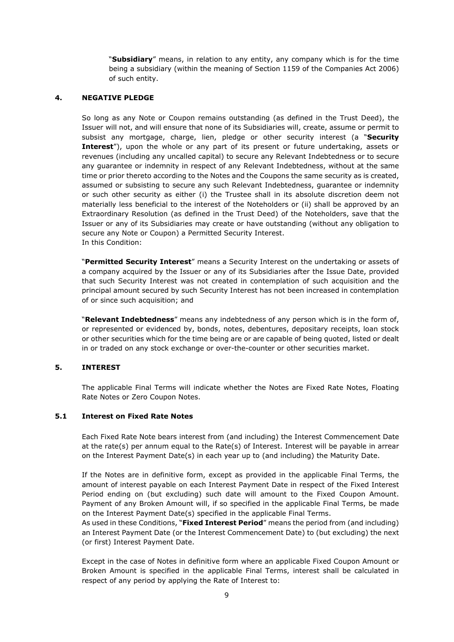"**Subsidiary**" means, in relation to any entity, any company which is for the time being a subsidiary (within the meaning of Section 1159 of the Companies Act 2006) of such entity.

#### **4. NEGATIVE PLEDGE**

So long as any Note or Coupon remains outstanding (as defined in the Trust Deed), the Issuer will not, and will ensure that none of its Subsidiaries will, create, assume or permit to subsist any mortgage, charge, lien, pledge or other security interest (a "**Security Interest**"), upon the whole or any part of its present or future undertaking, assets or revenues (including any uncalled capital) to secure any Relevant Indebtedness or to secure any guarantee or indemnity in respect of any Relevant Indebtedness, without at the same time or prior thereto according to the Notes and the Coupons the same security as is created, assumed or subsisting to secure any such Relevant Indebtedness, guarantee or indemnity or such other security as either (i) the Trustee shall in its absolute discretion deem not materially less beneficial to the interest of the Noteholders or (ii) shall be approved by an Extraordinary Resolution (as defined in the Trust Deed) of the Noteholders, save that the Issuer or any of its Subsidiaries may create or have outstanding (without any obligation to secure any Note or Coupon) a Permitted Security Interest. In this Condition:

"**Permitted Security Interest**" means a Security Interest on the undertaking or assets of a company acquired by the Issuer or any of its Subsidiaries after the Issue Date, provided that such Security Interest was not created in contemplation of such acquisition and the principal amount secured by such Security Interest has not been increased in contemplation of or since such acquisition; and

"**Relevant Indebtedness**" means any indebtedness of any person which is in the form of, or represented or evidenced by, bonds, notes, debentures, depositary receipts, loan stock or other securities which for the time being are or are capable of being quoted, listed or dealt in or traded on any stock exchange or over-the-counter or other securities market.

#### **5. INTEREST**

The applicable Final Terms will indicate whether the Notes are Fixed Rate Notes, Floating Rate Notes or Zero Coupon Notes.

#### **5.1 Interest on Fixed Rate Notes**

Each Fixed Rate Note bears interest from (and including) the Interest Commencement Date at the rate(s) per annum equal to the Rate(s) of Interest. Interest will be payable in arrear on the Interest Payment Date(s) in each year up to (and including) the Maturity Date.

If the Notes are in definitive form, except as provided in the applicable Final Terms, the amount of interest payable on each Interest Payment Date in respect of the Fixed Interest Period ending on (but excluding) such date will amount to the Fixed Coupon Amount. Payment of any Broken Amount will, if so specified in the applicable Final Terms, be made on the Interest Payment Date(s) specified in the applicable Final Terms.

As used in these Conditions, "**Fixed Interest Period**" means the period from (and including) an Interest Payment Date (or the Interest Commencement Date) to (but excluding) the next (or first) Interest Payment Date.

Except in the case of Notes in definitive form where an applicable Fixed Coupon Amount or Broken Amount is specified in the applicable Final Terms, interest shall be calculated in respect of any period by applying the Rate of Interest to: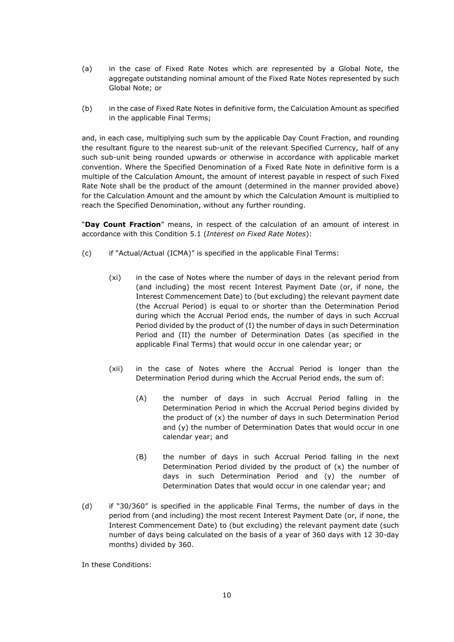- (a) in the case of Fixed Rate Notes which are represented by a Global Note, the aggregate outstanding nominal amount of the Fixed Rate Notes represented by such Global Note; or
- (b) in the case of Fixed Rate Notes in definitive form, the Calculation Amount as specified in the applicable Final Terms;

and, in each case, multiplying such sum by the applicable Day Count Fraction, and rounding the resultant figure to the nearest sub-unit of the relevant Specified Currency, half of any such sub-unit being rounded upwards or otherwise in accordance with applicable market convention. Where the Specified Denomination of a Fixed Rate Note in definitive form is a multiple of the Calculation Amount, the amount of interest payable in respect of such Fixed Rate Note shall be the product of the amount (determined in the manner provided above) for the Calculation Amount and the amount by which the Calculation Amount is multiplied to reach the Specified Denomination, without any further rounding.

"**Day Count Fraction**" means, in respect of the calculation of an amount of interest in accordance with this Condition 5.1 (*Interest on Fixed Rate Notes*):

- (c) if "Actual/Actual (ICMA)" is specified in the applicable Final Terms:
	- (xi) in the case of Notes where the number of days in the relevant period from (and including) the most recent Interest Payment Date (or, if none, the Interest Commencement Date) to (but excluding) the relevant payment date (the Accrual Period) is equal to or shorter than the Determination Period during which the Accrual Period ends, the number of days in such Accrual Period divided by the product of (I) the number of days in such Determination Period and (II) the number of Determination Dates (as specified in the applicable Final Terms) that would occur in one calendar year; or
	- (xii) in the case of Notes where the Accrual Period is longer than the Determination Period during which the Accrual Period ends, the sum of:
		- (A) the number of days in such Accrual Period falling in the Determination Period in which the Accrual Period begins divided by the product of (x) the number of days in such Determination Period and (y) the number of Determination Dates that would occur in one calendar year; and
		- (B) the number of days in such Accrual Period falling in the next Determination Period divided by the product of  $(x)$  the number of days in such Determination Period and (y) the number of Determination Dates that would occur in one calendar year; and
- (d) if "30/360" is specified in the applicable Final Terms, the number of days in the period from (and including) the most recent Interest Payment Date (or, if none, the Interest Commencement Date) to (but excluding) the relevant payment date (such number of days being calculated on the basis of a year of 360 days with 12 30-day months) divided by 360.

In these Conditions: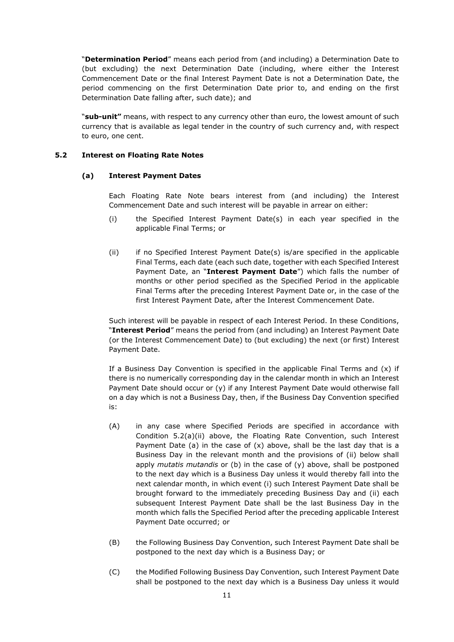"**Determination Period**" means each period from (and including) a Determination Date to (but excluding) the next Determination Date (including, where either the Interest Commencement Date or the final Interest Payment Date is not a Determination Date, the period commencing on the first Determination Date prior to, and ending on the first Determination Date falling after, such date); and

"**sub-unit"** means, with respect to any currency other than euro, the lowest amount of such currency that is available as legal tender in the country of such currency and, with respect to euro, one cent.

#### **5.2 Interest on Floating Rate Notes**

#### **(a) Interest Payment Dates**

Each Floating Rate Note bears interest from (and including) the Interest Commencement Date and such interest will be payable in arrear on either:

- (i) the Specified Interest Payment Date(s) in each year specified in the applicable Final Terms; or
- (ii) if no Specified Interest Payment Date(s) is/are specified in the applicable Final Terms, each date (each such date, together with each Specified Interest Payment Date, an "**Interest Payment Date**") which falls the number of months or other period specified as the Specified Period in the applicable Final Terms after the preceding Interest Payment Date or, in the case of the first Interest Payment Date, after the Interest Commencement Date.

Such interest will be payable in respect of each Interest Period. In these Conditions, "**Interest Period**" means the period from (and including) an Interest Payment Date (or the Interest Commencement Date) to (but excluding) the next (or first) Interest Payment Date.

If a Business Day Convention is specified in the applicable Final Terms and  $(x)$  if there is no numerically corresponding day in the calendar month in which an Interest Payment Date should occur or (y) if any Interest Payment Date would otherwise fall on a day which is not a Business Day, then, if the Business Day Convention specified is:

- (A) in any case where Specified Periods are specified in accordance with Condition 5.2(a)(ii) above, the Floating Rate Convention, such Interest Payment Date (a) in the case of  $(x)$  above, shall be the last day that is a Business Day in the relevant month and the provisions of (ii) below shall apply *mutatis mutandis* or (b) in the case of (y) above, shall be postponed to the next day which is a Business Day unless it would thereby fall into the next calendar month, in which event (i) such Interest Payment Date shall be brought forward to the immediately preceding Business Day and (ii) each subsequent Interest Payment Date shall be the last Business Day in the month which falls the Specified Period after the preceding applicable Interest Payment Date occurred; or
- (B) the Following Business Day Convention, such Interest Payment Date shall be postponed to the next day which is a Business Day; or
- (C) the Modified Following Business Day Convention, such Interest Payment Date shall be postponed to the next day which is a Business Day unless it would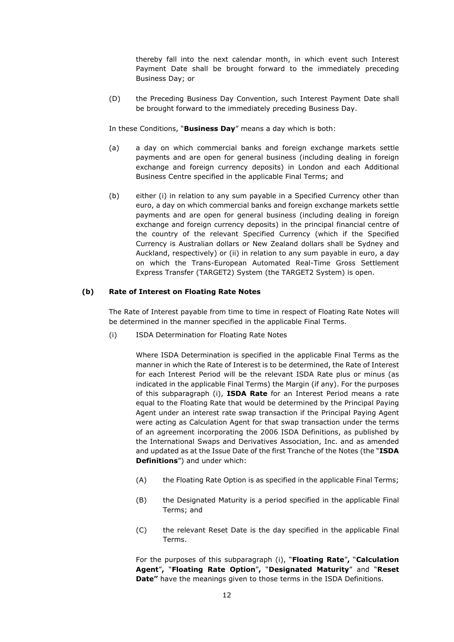thereby fall into the next calendar month, in which event such Interest Payment Date shall be brought forward to the immediately preceding Business Day; or

(D) the Preceding Business Day Convention, such Interest Payment Date shall be brought forward to the immediately preceding Business Day.

In these Conditions, "**Business Day**" means a day which is both:

- (a) a day on which commercial banks and foreign exchange markets settle payments and are open for general business (including dealing in foreign exchange and foreign currency deposits) in London and each Additional Business Centre specified in the applicable Final Terms; and
- (b) either (i) in relation to any sum payable in a Specified Currency other than euro, a day on which commercial banks and foreign exchange markets settle payments and are open for general business (including dealing in foreign exchange and foreign currency deposits) in the principal financial centre of the country of the relevant Specified Currency (which if the Specified Currency is Australian dollars or New Zealand dollars shall be Sydney and Auckland, respectively) or (ii) in relation to any sum payable in euro, a day on which the Trans-European Automated Real-Time Gross Settlement Express Transfer (TARGET2) System (the TARGET2 System) is open.

#### **(b) Rate of Interest on Floating Rate Notes**

The Rate of Interest payable from time to time in respect of Floating Rate Notes will be determined in the manner specified in the applicable Final Terms.

(i) ISDA Determination for Floating Rate Notes

Where ISDA Determination is specified in the applicable Final Terms as the manner in which the Rate of Interest is to be determined, the Rate of Interest for each Interest Period will be the relevant ISDA Rate plus or minus (as indicated in the applicable Final Terms) the Margin (if any). For the purposes of this subparagraph (i), **ISDA Rate** for an Interest Period means a rate equal to the Floating Rate that would be determined by the Principal Paying Agent under an interest rate swap transaction if the Principal Paying Agent were acting as Calculation Agent for that swap transaction under the terms of an agreement incorporating the 2006 ISDA Definitions, as published by the International Swaps and Derivatives Association, Inc. and as amended and updated as at the Issue Date of the first Tranche of the Notes (the "**ISDA Definitions**") and under which:

- (A) the Floating Rate Option is as specified in the applicable Final Terms;
- (B) the Designated Maturity is a period specified in the applicable Final Terms; and
- (C) the relevant Reset Date is the day specified in the applicable Final Terms.

For the purposes of this subparagraph (i), "**Floating Rate**"**,** "**Calculation Agent**"**,** "**Floating Rate Option**"**,** "**Designated Maturity**" and "**Reset Date"** have the meanings given to those terms in the ISDA Definitions.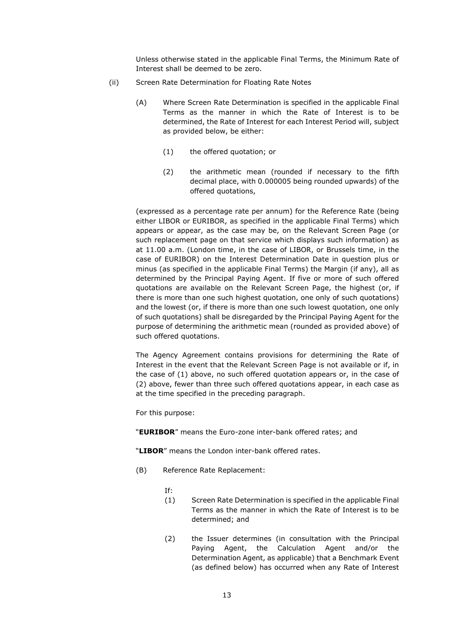Unless otherwise stated in the applicable Final Terms, the Minimum Rate of Interest shall be deemed to be zero.

- (ii) Screen Rate Determination for Floating Rate Notes
	- (A) Where Screen Rate Determination is specified in the applicable Final Terms as the manner in which the Rate of Interest is to be determined, the Rate of Interest for each Interest Period will, subject as provided below, be either:
		- (1) the offered quotation; or
		- (2) the arithmetic mean (rounded if necessary to the fifth decimal place, with 0.000005 being rounded upwards) of the offered quotations,

(expressed as a percentage rate per annum) for the Reference Rate (being either LIBOR or EURIBOR, as specified in the applicable Final Terms) which appears or appear, as the case may be, on the Relevant Screen Page (or such replacement page on that service which displays such information) as at 11.00 a.m. (London time, in the case of LIBOR, or Brussels time, in the case of EURIBOR) on the Interest Determination Date in question plus or minus (as specified in the applicable Final Terms) the Margin (if any), all as determined by the Principal Paying Agent. If five or more of such offered quotations are available on the Relevant Screen Page, the highest (or, if there is more than one such highest quotation, one only of such quotations) and the lowest (or, if there is more than one such lowest quotation, one only of such quotations) shall be disregarded by the Principal Paying Agent for the purpose of determining the arithmetic mean (rounded as provided above) of such offered quotations.

The Agency Agreement contains provisions for determining the Rate of Interest in the event that the Relevant Screen Page is not available or if, in the case of (1) above, no such offered quotation appears or, in the case of (2) above, fewer than three such offered quotations appear, in each case as at the time specified in the preceding paragraph.

For this purpose:

"**EURIBOR**" means the Euro-zone inter-bank offered rates; and

"**LIBOR**" means the London inter-bank offered rates.

(B) Reference Rate Replacement:

If:

- (1) Screen Rate Determination is specified in the applicable Final Terms as the manner in which the Rate of Interest is to be determined; and
- (2) the Issuer determines (in consultation with the Principal Paying Agent, the Calculation Agent and/or the Determination Agent, as applicable) that a Benchmark Event (as defined below) has occurred when any Rate of Interest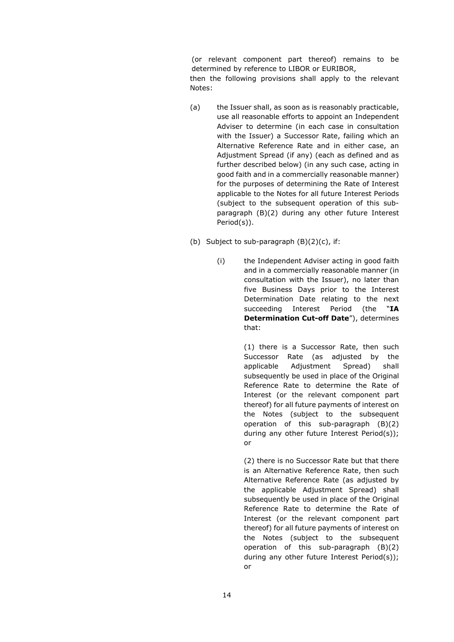(or relevant component part thereof) remains to be determined by reference to LIBOR or EURIBOR,

then the following provisions shall apply to the relevant Notes:

- (a) the Issuer shall, as soon as is reasonably practicable, use all reasonable efforts to appoint an Independent Adviser to determine (in each case in consultation with the Issuer) a Successor Rate, failing which an Alternative Reference Rate and in either case, an Adjustment Spread (if any) (each as defined and as further described below) (in any such case, acting in good faith and in a commercially reasonable manner) for the purposes of determining the Rate of Interest applicable to the Notes for all future Interest Periods (subject to the subsequent operation of this subparagraph (B)(2) during any other future Interest Period(s)).
- (b) Subject to sub-paragraph  $(B)(2)(c)$ , if:
	- (i) the Independent Adviser acting in good faith and in a commercially reasonable manner (in consultation with the Issuer), no later than five Business Days prior to the Interest Determination Date relating to the next succeeding Interest Period (the "**IA Determination Cut-off Date**"), determines that:

(1) there is a Successor Rate, then such Successor Rate (as adjusted by the applicable Adjustment Spread) shall subsequently be used in place of the Original Reference Rate to determine the Rate of Interest (or the relevant component part thereof) for all future payments of interest on the Notes (subject to the subsequent operation of this sub-paragraph (B)(2) during any other future Interest Period(s)); or

(2) there is no Successor Rate but that there is an Alternative Reference Rate, then such Alternative Reference Rate (as adjusted by the applicable Adjustment Spread) shall subsequently be used in place of the Original Reference Rate to determine the Rate of Interest (or the relevant component part thereof) for all future payments of interest on the Notes (subject to the subsequent operation of this sub-paragraph (B)(2) during any other future Interest Period(s)); or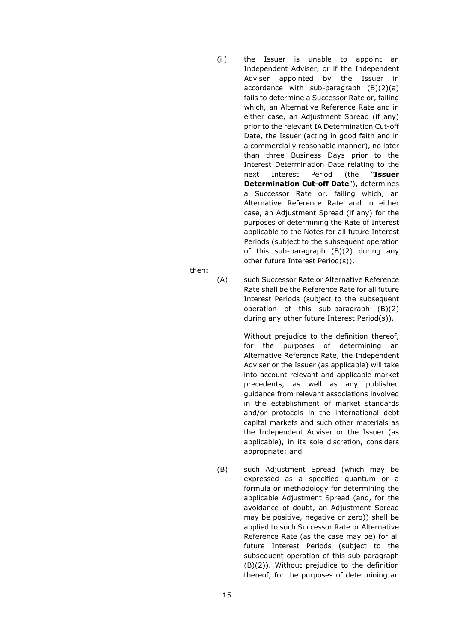- (ii) the Issuer is unable to appoint an Independent Adviser, or if the Independent Adviser appointed by the Issuer in accordance with sub-paragraph (B)(2)(a) fails to determine a Successor Rate or, failing which, an Alternative Reference Rate and in either case, an Adjustment Spread (if any) prior to the relevant IA Determination Cut-off Date, the Issuer (acting in good faith and in a commercially reasonable manner), no later than three Business Days prior to the Interest Determination Date relating to the next Interest Period (the "**Issuer Determination Cut-off Date**"), determines a Successor Rate or, failing which, an Alternative Reference Rate and in either case, an Adjustment Spread (if any) for the purposes of determining the Rate of Interest applicable to the Notes for all future Interest Periods (subject to the subsequent operation of this sub-paragraph (B)(2) during any other future Interest Period(s)),
- (A) such Successor Rate or Alternative Reference Rate shall be the Reference Rate for all future Interest Periods (subject to the subsequent operation of this sub-paragraph (B)(2) during any other future Interest Period(s)).

Without prejudice to the definition thereof, for the purposes of determining an Alternative Reference Rate, the Independent Adviser or the Issuer (as applicable) will take into account relevant and applicable market precedents, as well as any published guidance from relevant associations involved in the establishment of market standards and/or protocols in the international debt capital markets and such other materials as the Independent Adviser or the Issuer (as applicable), in its sole discretion, considers appropriate; and

(B) such Adjustment Spread (which may be expressed as a specified quantum or a formula or methodology for determining the applicable Adjustment Spread (and, for the avoidance of doubt, an Adjustment Spread may be positive, negative or zero)) shall be applied to such Successor Rate or Alternative Reference Rate (as the case may be) for all future Interest Periods (subject to the subsequent operation of this sub-paragraph (B)(2)). Without prejudice to the definition thereof, for the purposes of determining an

then: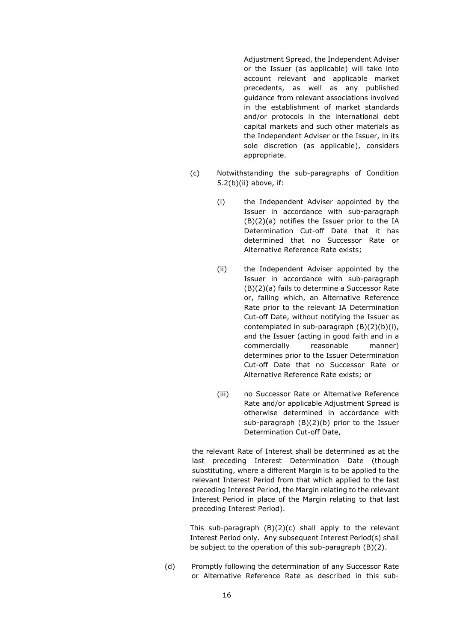Adjustment Spread, the Independent Adviser or the Issuer (as applicable) will take into account relevant and applicable market precedents, as well as any published guidance from relevant associations involved in the establishment of market standards and/or protocols in the international debt capital markets and such other materials as the Independent Adviser or the Issuer, in its sole discretion (as applicable), considers appropriate.

- (c) Notwithstanding the sub-paragraphs of Condition 5.2(b)(ii) above, if:
	- (i) the Independent Adviser appointed by the Issuer in accordance with sub-paragraph (B)(2)(a) notifies the Issuer prior to the IA Determination Cut-off Date that it has determined that no Successor Rate or Alternative Reference Rate exists;
	- (ii) the Independent Adviser appointed by the Issuer in accordance with sub-paragraph (B)(2)(a) fails to determine a Successor Rate or, failing which, an Alternative Reference Rate prior to the relevant IA Determination Cut-off Date, without notifying the Issuer as contemplated in sub-paragraph (B)(2)(b)(i), and the Issuer (acting in good faith and in a commercially reasonable manner) determines prior to the Issuer Determination Cut-off Date that no Successor Rate or Alternative Reference Rate exists; or
	- (iii) no Successor Rate or Alternative Reference Rate and/or applicable Adjustment Spread is otherwise determined in accordance with sub-paragraph (B)(2)(b) prior to the Issuer Determination Cut-off Date,

the relevant Rate of Interest shall be determined as at the last preceding Interest Determination Date (though substituting, where a different Margin is to be applied to the relevant Interest Period from that which applied to the last preceding Interest Period, the Margin relating to the relevant Interest Period in place of the Margin relating to that last preceding Interest Period).

This sub-paragraph (B)(2)(c) shall apply to the relevant Interest Period only. Any subsequent Interest Period(s) shall be subject to the operation of this sub-paragraph (B)(2).

(d) Promptly following the determination of any Successor Rate or Alternative Reference Rate as described in this sub-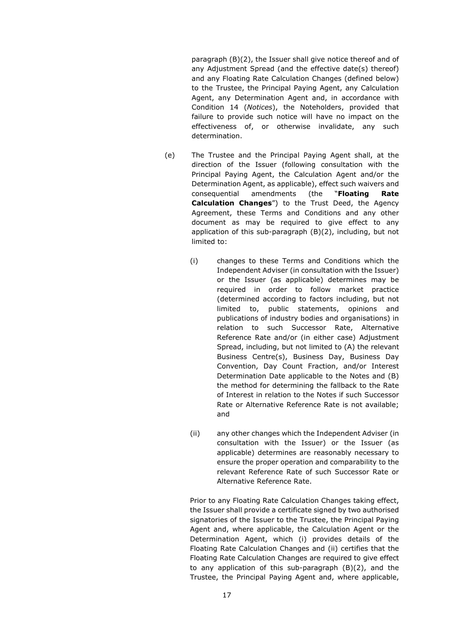paragraph (B)(2), the Issuer shall give notice thereof and of any Adjustment Spread (and the effective date(s) thereof) and any Floating Rate Calculation Changes (defined below) to the Trustee, the Principal Paying Agent, any Calculation Agent, any Determination Agent and, in accordance with Condition 14 (*Notices*), the Noteholders, provided that failure to provide such notice will have no impact on the effectiveness of, or otherwise invalidate, any such determination.

- (e) The Trustee and the Principal Paying Agent shall, at the direction of the Issuer (following consultation with the Principal Paying Agent, the Calculation Agent and/or the Determination Agent, as applicable), effect such waivers and consequential amendments (the "**Floating Rate Calculation Changes**") to the Trust Deed, the Agency Agreement, these Terms and Conditions and any other document as may be required to give effect to any application of this sub-paragraph (B)(2), including, but not limited to:
	- (i) changes to these Terms and Conditions which the Independent Adviser (in consultation with the Issuer) or the Issuer (as applicable) determines may be required in order to follow market practice (determined according to factors including, but not limited to, public statements, opinions and publications of industry bodies and organisations) in relation to such Successor Rate, Alternative Reference Rate and/or (in either case) Adjustment Spread, including, but not limited to (A) the relevant Business Centre(s), Business Day, Business Day Convention, Day Count Fraction, and/or Interest Determination Date applicable to the Notes and (B) the method for determining the fallback to the Rate of Interest in relation to the Notes if such Successor Rate or Alternative Reference Rate is not available; and
	- (ii) any other changes which the Independent Adviser (in consultation with the Issuer) or the Issuer (as applicable) determines are reasonably necessary to ensure the proper operation and comparability to the relevant Reference Rate of such Successor Rate or Alternative Reference Rate.

Prior to any Floating Rate Calculation Changes taking effect, the Issuer shall provide a certificate signed by two authorised signatories of the Issuer to the Trustee, the Principal Paying Agent and, where applicable, the Calculation Agent or the Determination Agent, which (i) provides details of the Floating Rate Calculation Changes and (ii) certifies that the Floating Rate Calculation Changes are required to give effect to any application of this sub-paragraph (B)(2), and the Trustee, the Principal Paying Agent and, where applicable,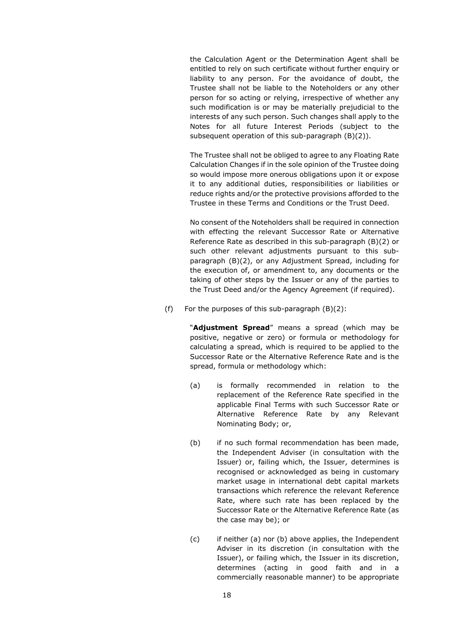the Calculation Agent or the Determination Agent shall be entitled to rely on such certificate without further enquiry or liability to any person. For the avoidance of doubt, the Trustee shall not be liable to the Noteholders or any other person for so acting or relying, irrespective of whether any such modification is or may be materially prejudicial to the interests of any such person. Such changes shall apply to the Notes for all future Interest Periods (subject to the subsequent operation of this sub-paragraph (B)(2)).

The Trustee shall not be obliged to agree to any Floating Rate Calculation Changes if in the sole opinion of the Trustee doing so would impose more onerous obligations upon it or expose it to any additional duties, responsibilities or liabilities or reduce rights and/or the protective provisions afforded to the Trustee in these Terms and Conditions or the Trust Deed.

No consent of the Noteholders shall be required in connection with effecting the relevant Successor Rate or Alternative Reference Rate as described in this sub-paragraph (B)(2) or such other relevant adjustments pursuant to this subparagraph (B)(2), or any Adjustment Spread, including for the execution of, or amendment to, any documents or the taking of other steps by the Issuer or any of the parties to the Trust Deed and/or the Agency Agreement (if required).

(f) For the purposes of this sub-paragraph  $(B)(2)$ :

"**Adjustment Spread**" means a spread (which may be positive, negative or zero) or formula or methodology for calculating a spread, which is required to be applied to the Successor Rate or the Alternative Reference Rate and is the spread, formula or methodology which:

- (a) is formally recommended in relation to the replacement of the Reference Rate specified in the applicable Final Terms with such Successor Rate or Alternative Reference Rate by any Relevant Nominating Body; or,
- (b) if no such formal recommendation has been made, the Independent Adviser (in consultation with the Issuer) or, failing which, the Issuer, determines is recognised or acknowledged as being in customary market usage in international debt capital markets transactions which reference the relevant Reference Rate, where such rate has been replaced by the Successor Rate or the Alternative Reference Rate (as the case may be); or
- (c) if neither (a) nor (b) above applies, the Independent Adviser in its discretion (in consultation with the Issuer), or failing which, the Issuer in its discretion, determines (acting in good faith and in a commercially reasonable manner) to be appropriate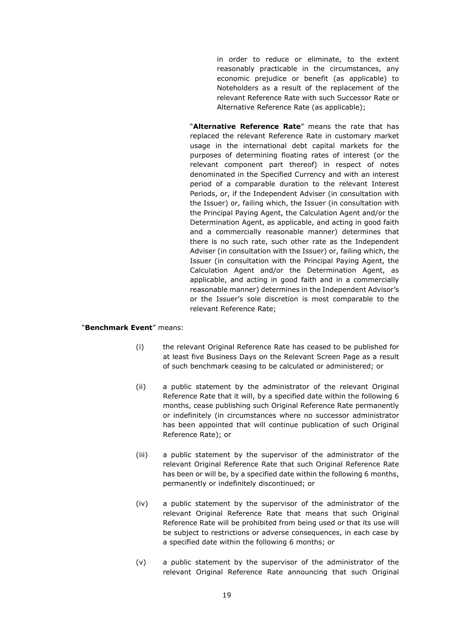in order to reduce or eliminate, to the extent reasonably practicable in the circumstances, any economic prejudice or benefit (as applicable) to Noteholders as a result of the replacement of the relevant Reference Rate with such Successor Rate or Alternative Reference Rate (as applicable);

"**Alternative Reference Rate**" means the rate that has replaced the relevant Reference Rate in customary market usage in the international debt capital markets for the purposes of determining floating rates of interest (or the relevant component part thereof) in respect of notes denominated in the Specified Currency and with an interest period of a comparable duration to the relevant Interest Periods, or, if the Independent Adviser (in consultation with the Issuer) or, failing which, the Issuer (in consultation with the Principal Paying Agent, the Calculation Agent and/or the Determination Agent, as applicable, and acting in good faith and a commercially reasonable manner) determines that there is no such rate, such other rate as the Independent Adviser (in consultation with the Issuer) or, failing which, the Issuer (in consultation with the Principal Paying Agent, the Calculation Agent and/or the Determination Agent, as applicable, and acting in good faith and in a commercially reasonable manner) determines in the Independent Advisor's or the Issuer's sole discretion is most comparable to the relevant Reference Rate;

#### "**Benchmark Event**" means:

- (i) the relevant Original Reference Rate has ceased to be published for at least five Business Days on the Relevant Screen Page as a result of such benchmark ceasing to be calculated or administered; or
- (ii) a public statement by the administrator of the relevant Original Reference Rate that it will, by a specified date within the following 6 months, cease publishing such Original Reference Rate permanently or indefinitely (in circumstances where no successor administrator has been appointed that will continue publication of such Original Reference Rate); or
- (iii) a public statement by the supervisor of the administrator of the relevant Original Reference Rate that such Original Reference Rate has been or will be, by a specified date within the following 6 months, permanently or indefinitely discontinued; or
- (iv) a public statement by the supervisor of the administrator of the relevant Original Reference Rate that means that such Original Reference Rate will be prohibited from being used or that its use will be subject to restrictions or adverse consequences, in each case by a specified date within the following 6 months; or
- (v) a public statement by the supervisor of the administrator of the relevant Original Reference Rate announcing that such Original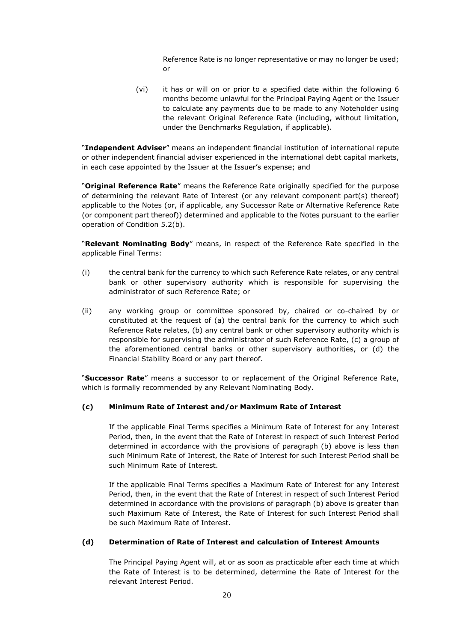Reference Rate is no longer representative or may no longer be used; or

(vi) it has or will on or prior to a specified date within the following 6 months become unlawful for the Principal Paying Agent or the Issuer to calculate any payments due to be made to any Noteholder using the relevant Original Reference Rate (including, without limitation, under the Benchmarks Regulation, if applicable).

"**Independent Adviser**" means an independent financial institution of international repute or other independent financial adviser experienced in the international debt capital markets, in each case appointed by the Issuer at the Issuer's expense; and

"**Original Reference Rate**" means the Reference Rate originally specified for the purpose of determining the relevant Rate of Interest (or any relevant component part(s) thereof) applicable to the Notes (or, if applicable, any Successor Rate or Alternative Reference Rate (or component part thereof)) determined and applicable to the Notes pursuant to the earlier operation of Condition 5.2(b).

"**Relevant Nominating Body**" means, in respect of the Reference Rate specified in the applicable Final Terms:

- (i) the central bank for the currency to which such Reference Rate relates, or any central bank or other supervisory authority which is responsible for supervising the administrator of such Reference Rate; or
- (ii) any working group or committee sponsored by, chaired or co-chaired by or constituted at the request of (a) the central bank for the currency to which such Reference Rate relates, (b) any central bank or other supervisory authority which is responsible for supervising the administrator of such Reference Rate, (c) a group of the aforementioned central banks or other supervisory authorities, or (d) the Financial Stability Board or any part thereof.

"**Successor Rate**" means a successor to or replacement of the Original Reference Rate, which is formally recommended by any Relevant Nominating Body.

#### **(c) Minimum Rate of Interest and/or Maximum Rate of Interest**

If the applicable Final Terms specifies a Minimum Rate of Interest for any Interest Period, then, in the event that the Rate of Interest in respect of such Interest Period determined in accordance with the provisions of paragraph (b) above is less than such Minimum Rate of Interest, the Rate of Interest for such Interest Period shall be such Minimum Rate of Interest.

If the applicable Final Terms specifies a Maximum Rate of Interest for any Interest Period, then, in the event that the Rate of Interest in respect of such Interest Period determined in accordance with the provisions of paragraph (b) above is greater than such Maximum Rate of Interest, the Rate of Interest for such Interest Period shall be such Maximum Rate of Interest.

#### **(d) Determination of Rate of Interest and calculation of Interest Amounts**

The Principal Paying Agent will, at or as soon as practicable after each time at which the Rate of Interest is to be determined, determine the Rate of Interest for the relevant Interest Period.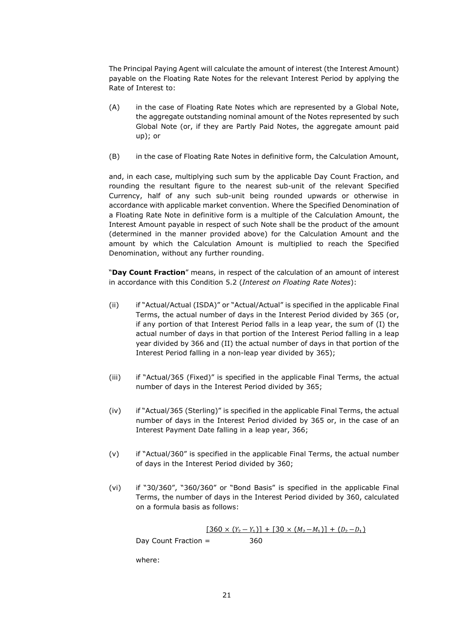The Principal Paying Agent will calculate the amount of interest (the Interest Amount) payable on the Floating Rate Notes for the relevant Interest Period by applying the Rate of Interest to:

- (A) in the case of Floating Rate Notes which are represented by a Global Note, the aggregate outstanding nominal amount of the Notes represented by such Global Note (or, if they are Partly Paid Notes, the aggregate amount paid up); or
- (B) in the case of Floating Rate Notes in definitive form, the Calculation Amount,

and, in each case, multiplying such sum by the applicable Day Count Fraction, and rounding the resultant figure to the nearest sub-unit of the relevant Specified Currency, half of any such sub-unit being rounded upwards or otherwise in accordance with applicable market convention. Where the Specified Denomination of a Floating Rate Note in definitive form is a multiple of the Calculation Amount, the Interest Amount payable in respect of such Note shall be the product of the amount (determined in the manner provided above) for the Calculation Amount and the amount by which the Calculation Amount is multiplied to reach the Specified Denomination, without any further rounding.

"**Day Count Fraction**" means, in respect of the calculation of an amount of interest in accordance with this Condition 5.2 (*Interest on Floating Rate Notes*):

- (ii) if "Actual/Actual (ISDA)" or "Actual/Actual" is specified in the applicable Final Terms, the actual number of days in the Interest Period divided by 365 (or, if any portion of that Interest Period falls in a leap year, the sum of (I) the actual number of days in that portion of the Interest Period falling in a leap year divided by 366 and (II) the actual number of days in that portion of the Interest Period falling in a non-leap year divided by 365);
- (iii) if "Actual/365 (Fixed)" is specified in the applicable Final Terms, the actual number of days in the Interest Period divided by 365;
- (iv) if "Actual/365 (Sterling)" is specified in the applicable Final Terms, the actual number of days in the Interest Period divided by 365 or, in the case of an Interest Payment Date falling in a leap year, 366;
- (v) if "Actual/360" is specified in the applicable Final Terms, the actual number of days in the Interest Period divided by 360;
- (vi) if "30/360", "360/360" or "Bond Basis" is specified in the applicable Final Terms, the number of days in the Interest Period divided by 360, calculated on a formula basis as follows:

 $[360 \times (Y_2 - Y_1)] + [30 \times (M_2 - M_1)] + (D_2 - D_1)$ Day Count Fraction = 360

where: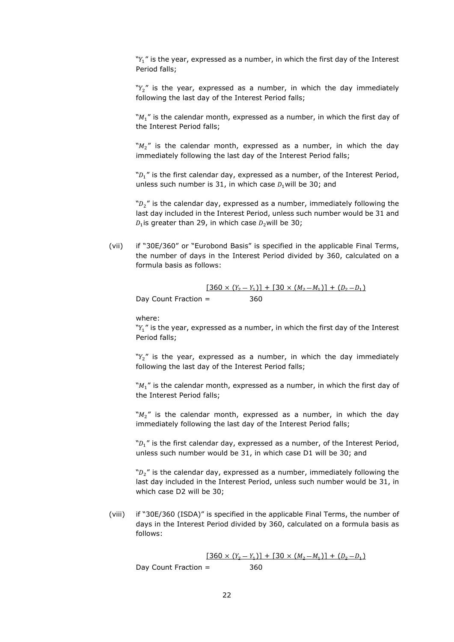" $Y_1$ " is the year, expressed as a number, in which the first day of the Interest Period falls;

" $Y_2$ " is the year, expressed as a number, in which the day immediately following the last day of the Interest Period falls;

" $M_1$ " is the calendar month, expressed as a number, in which the first day of the Interest Period falls;

" $M_2$ " is the calendar month, expressed as a number, in which the day immediately following the last day of the Interest Period falls;

" $D_1$ " is the first calendar day, expressed as a number, of the Interest Period, unless such number is 31, in which case  $D_1$  will be 30; and

" $D_2$ " is the calendar day, expressed as a number, immediately following the last day included in the Interest Period, unless such number would be 31 and  $D_1$  is greater than 29, in which case  $D_2$  will be 30;

(vii) if "30E/360" or "Eurobond Basis" is specified in the applicable Final Terms, the number of days in the Interest Period divided by 360, calculated on a formula basis as follows:

$$
\frac{[360 \times (Y_2 - Y_1)] + [30 \times (M_2 - M_1)] + (D_2 - D_1)}{360}
$$
 Day Count Fraction =

where:

" $Y_1$ " is the year, expressed as a number, in which the first day of the Interest Period falls;

" $Y_2$ " is the year, expressed as a number, in which the day immediately following the last day of the Interest Period falls;

" $M_1$ " is the calendar month, expressed as a number, in which the first day of the Interest Period falls;

" $M_2$ " is the calendar month, expressed as a number, in which the day immediately following the last day of the Interest Period falls;

" $D_1$ " is the first calendar day, expressed as a number, of the Interest Period, unless such number would be 31, in which case D1 will be 30; and

" $D_2$ " is the calendar day, expressed as a number, immediately following the last day included in the Interest Period, unless such number would be 31, in which case D2 will be 30;

(viii) if "30E/360 (ISDA)" is specified in the applicable Final Terms, the number of days in the Interest Period divided by 360, calculated on a formula basis as follows:

 $[360 \times (Y_2 - Y_1)] + [30 \times (M_2 - M_1)] + (D_2 - D_1)$ Day Count Fraction = 360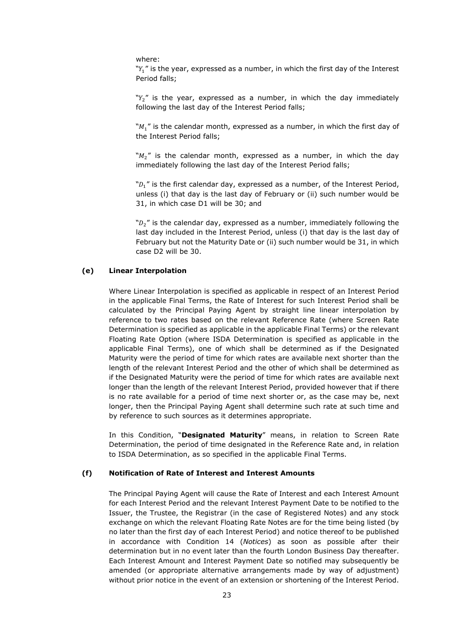where:

" $Y_1$ " is the year, expressed as a number, in which the first day of the Interest Period falls;

" $Y_2$ " is the year, expressed as a number, in which the day immediately following the last day of the Interest Period falls;

" $M_1$ " is the calendar month, expressed as a number, in which the first day of the Interest Period falls;

" $M_2$ " is the calendar month, expressed as a number, in which the day immediately following the last day of the Interest Period falls;

" $D_1$ " is the first calendar day, expressed as a number, of the Interest Period, unless (i) that day is the last day of February or (ii) such number would be 31, in which case D1 will be 30; and

" $D_2$ " is the calendar day, expressed as a number, immediately following the last day included in the Interest Period, unless (i) that day is the last day of February but not the Maturity Date or (ii) such number would be 31, in which case D2 will be 30.

#### **(e) Linear Interpolation**

Where Linear Interpolation is specified as applicable in respect of an Interest Period in the applicable Final Terms, the Rate of Interest for such Interest Period shall be calculated by the Principal Paying Agent by straight line linear interpolation by reference to two rates based on the relevant Reference Rate (where Screen Rate Determination is specified as applicable in the applicable Final Terms) or the relevant Floating Rate Option (where ISDA Determination is specified as applicable in the applicable Final Terms), one of which shall be determined as if the Designated Maturity were the period of time for which rates are available next shorter than the length of the relevant Interest Period and the other of which shall be determined as if the Designated Maturity were the period of time for which rates are available next longer than the length of the relevant Interest Period, provided however that if there is no rate available for a period of time next shorter or, as the case may be, next longer, then the Principal Paying Agent shall determine such rate at such time and by reference to such sources as it determines appropriate.

In this Condition, "**Designated Maturity**" means, in relation to Screen Rate Determination, the period of time designated in the Reference Rate and, in relation to ISDA Determination, as so specified in the applicable Final Terms.

#### **(f) Notification of Rate of Interest and Interest Amounts**

The Principal Paying Agent will cause the Rate of Interest and each Interest Amount for each Interest Period and the relevant Interest Payment Date to be notified to the Issuer, the Trustee, the Registrar (in the case of Registered Notes) and any stock exchange on which the relevant Floating Rate Notes are for the time being listed (by no later than the first day of each Interest Period) and notice thereof to be published in accordance with Condition 14 (*Notices*) as soon as possible after their determination but in no event later than the fourth London Business Day thereafter. Each Interest Amount and Interest Payment Date so notified may subsequently be amended (or appropriate alternative arrangements made by way of adjustment) without prior notice in the event of an extension or shortening of the Interest Period.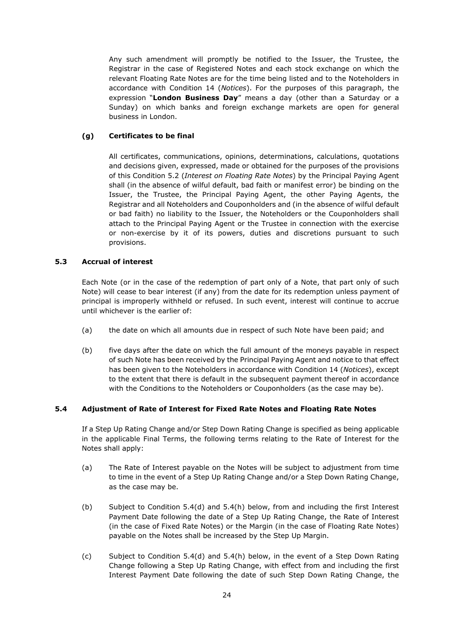Any such amendment will promptly be notified to the Issuer, the Trustee, the Registrar in the case of Registered Notes and each stock exchange on which the relevant Floating Rate Notes are for the time being listed and to the Noteholders in accordance with Condition 14 (*Notices*). For the purposes of this paragraph, the expression "**London Business Day**" means a day (other than a Saturday or a Sunday) on which banks and foreign exchange markets are open for general business in London.

#### **(g) Certificates to be final**

All certificates, communications, opinions, determinations, calculations, quotations and decisions given, expressed, made or obtained for the purposes of the provisions of this Condition 5.2 (*Interest on Floating Rate Notes*) by the Principal Paying Agent shall (in the absence of wilful default, bad faith or manifest error) be binding on the Issuer, the Trustee, the Principal Paying Agent, the other Paying Agents, the Registrar and all Noteholders and Couponholders and (in the absence of wilful default or bad faith) no liability to the Issuer, the Noteholders or the Couponholders shall attach to the Principal Paying Agent or the Trustee in connection with the exercise or non-exercise by it of its powers, duties and discretions pursuant to such provisions.

#### **5.3 Accrual of interest**

Each Note (or in the case of the redemption of part only of a Note, that part only of such Note) will cease to bear interest (if any) from the date for its redemption unless payment of principal is improperly withheld or refused. In such event, interest will continue to accrue until whichever is the earlier of:

- (a) the date on which all amounts due in respect of such Note have been paid; and
- (b) five days after the date on which the full amount of the moneys payable in respect of such Note has been received by the Principal Paying Agent and notice to that effect has been given to the Noteholders in accordance with Condition 14 (*Notices*), except to the extent that there is default in the subsequent payment thereof in accordance with the Conditions to the Noteholders or Couponholders (as the case may be).

#### **5.4 Adjustment of Rate of Interest for Fixed Rate Notes and Floating Rate Notes**

If a Step Up Rating Change and/or Step Down Rating Change is specified as being applicable in the applicable Final Terms, the following terms relating to the Rate of Interest for the Notes shall apply:

- (a) The Rate of Interest payable on the Notes will be subject to adjustment from time to time in the event of a Step Up Rating Change and/or a Step Down Rating Change, as the case may be.
- (b) Subject to Condition 5.4(d) and 5.4(h) below, from and including the first Interest Payment Date following the date of a Step Up Rating Change, the Rate of Interest (in the case of Fixed Rate Notes) or the Margin (in the case of Floating Rate Notes) payable on the Notes shall be increased by the Step Up Margin.
- (c) Subject to Condition 5.4(d) and 5.4(h) below, in the event of a Step Down Rating Change following a Step Up Rating Change, with effect from and including the first Interest Payment Date following the date of such Step Down Rating Change, the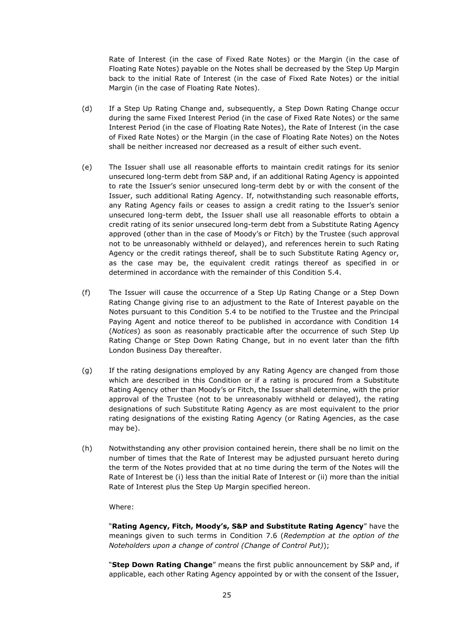Rate of Interest (in the case of Fixed Rate Notes) or the Margin (in the case of Floating Rate Notes) payable on the Notes shall be decreased by the Step Up Margin back to the initial Rate of Interest (in the case of Fixed Rate Notes) or the initial Margin (in the case of Floating Rate Notes).

- (d) If a Step Up Rating Change and, subsequently, a Step Down Rating Change occur during the same Fixed Interest Period (in the case of Fixed Rate Notes) or the same Interest Period (in the case of Floating Rate Notes), the Rate of Interest (in the case of Fixed Rate Notes) or the Margin (in the case of Floating Rate Notes) on the Notes shall be neither increased nor decreased as a result of either such event.
- (e) The Issuer shall use all reasonable efforts to maintain credit ratings for its senior unsecured long-term debt from S&P and, if an additional Rating Agency is appointed to rate the Issuer's senior unsecured long-term debt by or with the consent of the Issuer, such additional Rating Agency. If, notwithstanding such reasonable efforts, any Rating Agency fails or ceases to assign a credit rating to the Issuer's senior unsecured long-term debt, the Issuer shall use all reasonable efforts to obtain a credit rating of its senior unsecured long-term debt from a Substitute Rating Agency approved (other than in the case of Moody's or Fitch) by the Trustee (such approval not to be unreasonably withheld or delayed), and references herein to such Rating Agency or the credit ratings thereof, shall be to such Substitute Rating Agency or, as the case may be, the equivalent credit ratings thereof as specified in or determined in accordance with the remainder of this Condition 5.4.
- (f) The Issuer will cause the occurrence of a Step Up Rating Change or a Step Down Rating Change giving rise to an adjustment to the Rate of Interest payable on the Notes pursuant to this Condition 5.4 to be notified to the Trustee and the Principal Paying Agent and notice thereof to be published in accordance with Condition 14 (*Notices*) as soon as reasonably practicable after the occurrence of such Step Up Rating Change or Step Down Rating Change, but in no event later than the fifth London Business Day thereafter.
- (g) If the rating designations employed by any Rating Agency are changed from those which are described in this Condition or if a rating is procured from a Substitute Rating Agency other than Moody's or Fitch, the Issuer shall determine, with the prior approval of the Trustee (not to be unreasonably withheld or delayed), the rating designations of such Substitute Rating Agency as are most equivalent to the prior rating designations of the existing Rating Agency (or Rating Agencies, as the case may be).
- (h) Notwithstanding any other provision contained herein, there shall be no limit on the number of times that the Rate of Interest may be adjusted pursuant hereto during the term of the Notes provided that at no time during the term of the Notes will the Rate of Interest be (i) less than the initial Rate of Interest or (ii) more than the initial Rate of Interest plus the Step Up Margin specified hereon.

#### Where:

"**Rating Agency, Fitch, Moody's, S&P and Substitute Rating Agency**" have the meanings given to such terms in Condition 7.6 (*Redemption at the option of the Noteholders upon a change of control (Change of Control Put)*);

"**Step Down Rating Change**" means the first public announcement by S&P and, if applicable, each other Rating Agency appointed by or with the consent of the Issuer,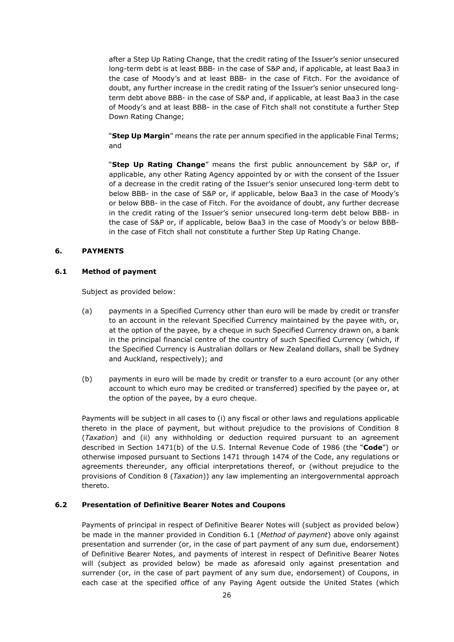after a Step Up Rating Change, that the credit rating of the Issuer's senior unsecured long-term debt is at least BBB- in the case of S&P and, if applicable, at least Baa3 in the case of Moody's and at least BBB- in the case of Fitch. For the avoidance of doubt, any further increase in the credit rating of the Issuer's senior unsecured longterm debt above BBB- in the case of S&P and, if applicable, at least Baa3 in the case of Moody's and at least BBB- in the case of Fitch shall not constitute a further Step Down Rating Change;

"**Step Up Margin**" means the rate per annum specified in the applicable Final Terms; and

"**Step Up Rating Change**" means the first public announcement by S&P or, if applicable, any other Rating Agency appointed by or with the consent of the Issuer of a decrease in the credit rating of the Issuer's senior unsecured long-term debt to below BBB- in the case of S&P or, if applicable, below Baa3 in the case of Moody's or below BBB- in the case of Fitch. For the avoidance of doubt, any further decrease in the credit rating of the Issuer's senior unsecured long-term debt below BBB- in the case of S&P or, if applicable, below Baa3 in the case of Moody's or below BBBin the case of Fitch shall not constitute a further Step Up Rating Change.

#### **6. PAYMENTS**

#### **6.1 Method of payment**

Subject as provided below:

- (a) payments in a Specified Currency other than euro will be made by credit or transfer to an account in the relevant Specified Currency maintained by the payee with, or, at the option of the payee, by a cheque in such Specified Currency drawn on, a bank in the principal financial centre of the country of such Specified Currency (which, if the Specified Currency is Australian dollars or New Zealand dollars, shall be Sydney and Auckland, respectively); and
- (b) payments in euro will be made by credit or transfer to a euro account (or any other account to which euro may be credited or transferred) specified by the payee or, at the option of the payee, by a euro cheque.

Payments will be subject in all cases to (i) any fiscal or other laws and regulations applicable thereto in the place of payment, but without prejudice to the provisions of Condition 8 (*Taxation*) and (ii) any withholding or deduction required pursuant to an agreement described in Section 1471(b) of the U.S. Internal Revenue Code of 1986 (the "**Code**") or otherwise imposed pursuant to Sections 1471 through 1474 of the Code, any regulations or agreements thereunder, any official interpretations thereof, or (without prejudice to the provisions of Condition 8 (*Taxation*)) any law implementing an intergovernmental approach thereto.

#### **6.2 Presentation of Definitive Bearer Notes and Coupons**

Payments of principal in respect of Definitive Bearer Notes will (subject as provided below) be made in the manner provided in Condition 6.1 (*Method of payment*) above only against presentation and surrender (or, in the case of part payment of any sum due, endorsement) of Definitive Bearer Notes, and payments of interest in respect of Definitive Bearer Notes will (subject as provided below) be made as aforesaid only against presentation and surrender (or, in the case of part payment of any sum due, endorsement) of Coupons, in each case at the specified office of any Paying Agent outside the United States (which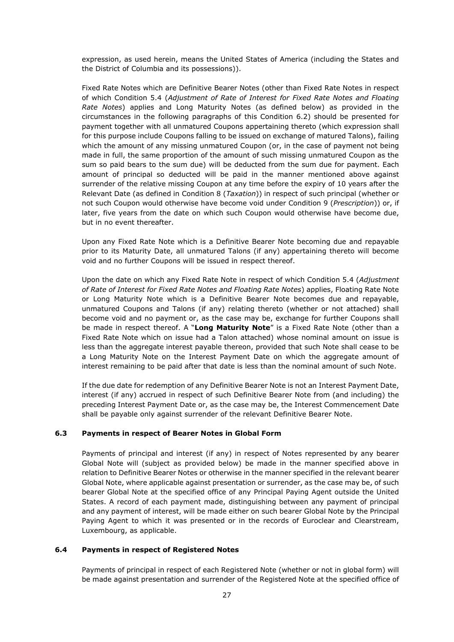expression, as used herein, means the United States of America (including the States and the District of Columbia and its possessions)).

Fixed Rate Notes which are Definitive Bearer Notes (other than Fixed Rate Notes in respect of which Condition 5.4 (*Adjustment of Rate of Interest for Fixed Rate Notes and Floating Rate Notes*) applies and Long Maturity Notes (as defined below) as provided in the circumstances in the following paragraphs of this Condition 6.2) should be presented for payment together with all unmatured Coupons appertaining thereto (which expression shall for this purpose include Coupons falling to be issued on exchange of matured Talons), failing which the amount of any missing unmatured Coupon (or, in the case of payment not being made in full, the same proportion of the amount of such missing unmatured Coupon as the sum so paid bears to the sum due) will be deducted from the sum due for payment. Each amount of principal so deducted will be paid in the manner mentioned above against surrender of the relative missing Coupon at any time before the expiry of 10 years after the Relevant Date (as defined in Condition 8 (*Taxation*)) in respect of such principal (whether or not such Coupon would otherwise have become void under Condition 9 (*Prescription*)) or, if later, five years from the date on which such Coupon would otherwise have become due, but in no event thereafter.

Upon any Fixed Rate Note which is a Definitive Bearer Note becoming due and repayable prior to its Maturity Date, all unmatured Talons (if any) appertaining thereto will become void and no further Coupons will be issued in respect thereof.

Upon the date on which any Fixed Rate Note in respect of which Condition 5.4 (*Adjustment of Rate of Interest for Fixed Rate Notes and Floating Rate Notes*) applies, Floating Rate Note or Long Maturity Note which is a Definitive Bearer Note becomes due and repayable, unmatured Coupons and Talons (if any) relating thereto (whether or not attached) shall become void and no payment or, as the case may be, exchange for further Coupons shall be made in respect thereof. A "**Long Maturity Note**" is a Fixed Rate Note (other than a Fixed Rate Note which on issue had a Talon attached) whose nominal amount on issue is less than the aggregate interest payable thereon, provided that such Note shall cease to be a Long Maturity Note on the Interest Payment Date on which the aggregate amount of interest remaining to be paid after that date is less than the nominal amount of such Note.

If the due date for redemption of any Definitive Bearer Note is not an Interest Payment Date, interest (if any) accrued in respect of such Definitive Bearer Note from (and including) the preceding Interest Payment Date or, as the case may be, the Interest Commencement Date shall be payable only against surrender of the relevant Definitive Bearer Note.

#### **6.3 Payments in respect of Bearer Notes in Global Form**

Payments of principal and interest (if any) in respect of Notes represented by any bearer Global Note will (subject as provided below) be made in the manner specified above in relation to Definitive Bearer Notes or otherwise in the manner specified in the relevant bearer Global Note, where applicable against presentation or surrender, as the case may be, of such bearer Global Note at the specified office of any Principal Paying Agent outside the United States. A record of each payment made, distinguishing between any payment of principal and any payment of interest, will be made either on such bearer Global Note by the Principal Paying Agent to which it was presented or in the records of Euroclear and Clearstream, Luxembourg, as applicable.

#### **6.4 Payments in respect of Registered Notes**

Payments of principal in respect of each Registered Note (whether or not in global form) will be made against presentation and surrender of the Registered Note at the specified office of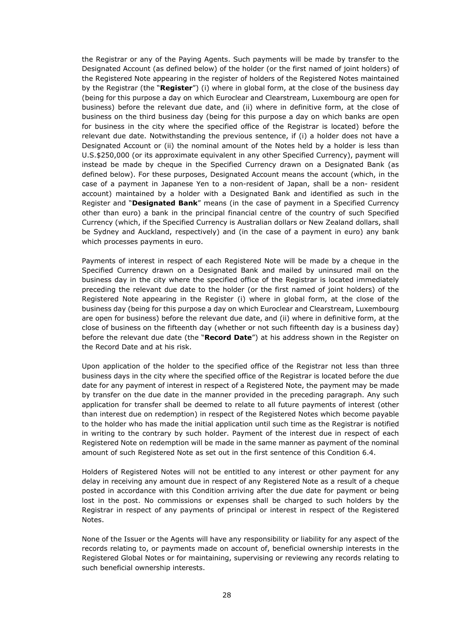the Registrar or any of the Paying Agents. Such payments will be made by transfer to the Designated Account (as defined below) of the holder (or the first named of joint holders) of the Registered Note appearing in the register of holders of the Registered Notes maintained by the Registrar (the "**Register**") (i) where in global form, at the close of the business day (being for this purpose a day on which Euroclear and Clearstream, Luxembourg are open for business) before the relevant due date, and (ii) where in definitive form, at the close of business on the third business day (being for this purpose a day on which banks are open for business in the city where the specified office of the Registrar is located) before the relevant due date. Notwithstanding the previous sentence, if (i) a holder does not have a Designated Account or (ii) the nominal amount of the Notes held by a holder is less than U.S.\$250,000 (or its approximate equivalent in any other Specified Currency), payment will instead be made by cheque in the Specified Currency drawn on a Designated Bank (as defined below). For these purposes, Designated Account means the account (which, in the case of a payment in Japanese Yen to a non-resident of Japan, shall be a non- resident account) maintained by a holder with a Designated Bank and identified as such in the Register and "**Designated Bank**" means (in the case of payment in a Specified Currency other than euro) a bank in the principal financial centre of the country of such Specified Currency (which, if the Specified Currency is Australian dollars or New Zealand dollars, shall be Sydney and Auckland, respectively) and (in the case of a payment in euro) any bank which processes payments in euro.

Payments of interest in respect of each Registered Note will be made by a cheque in the Specified Currency drawn on a Designated Bank and mailed by uninsured mail on the business day in the city where the specified office of the Registrar is located immediately preceding the relevant due date to the holder (or the first named of joint holders) of the Registered Note appearing in the Register (i) where in global form, at the close of the business day (being for this purpose a day on which Euroclear and Clearstream, Luxembourg are open for business) before the relevant due date, and (ii) where in definitive form, at the close of business on the fifteenth day (whether or not such fifteenth day is a business day) before the relevant due date (the "**Record Date**") at his address shown in the Register on the Record Date and at his risk.

Upon application of the holder to the specified office of the Registrar not less than three business days in the city where the specified office of the Registrar is located before the due date for any payment of interest in respect of a Registered Note, the payment may be made by transfer on the due date in the manner provided in the preceding paragraph. Any such application for transfer shall be deemed to relate to all future payments of interest (other than interest due on redemption) in respect of the Registered Notes which become payable to the holder who has made the initial application until such time as the Registrar is notified in writing to the contrary by such holder. Payment of the interest due in respect of each Registered Note on redemption will be made in the same manner as payment of the nominal amount of such Registered Note as set out in the first sentence of this Condition 6.4.

Holders of Registered Notes will not be entitled to any interest or other payment for any delay in receiving any amount due in respect of any Registered Note as a result of a cheque posted in accordance with this Condition arriving after the due date for payment or being lost in the post. No commissions or expenses shall be charged to such holders by the Registrar in respect of any payments of principal or interest in respect of the Registered Notes.

None of the Issuer or the Agents will have any responsibility or liability for any aspect of the records relating to, or payments made on account of, beneficial ownership interests in the Registered Global Notes or for maintaining, supervising or reviewing any records relating to such beneficial ownership interests.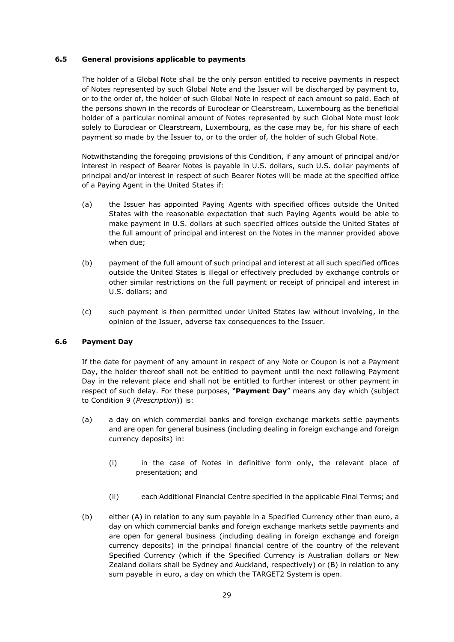#### **6.5 General provisions applicable to payments**

The holder of a Global Note shall be the only person entitled to receive payments in respect of Notes represented by such Global Note and the Issuer will be discharged by payment to, or to the order of, the holder of such Global Note in respect of each amount so paid. Each of the persons shown in the records of Euroclear or Clearstream, Luxembourg as the beneficial holder of a particular nominal amount of Notes represented by such Global Note must look solely to Euroclear or Clearstream, Luxembourg, as the case may be, for his share of each payment so made by the Issuer to, or to the order of, the holder of such Global Note.

Notwithstanding the foregoing provisions of this Condition, if any amount of principal and/or interest in respect of Bearer Notes is payable in U.S. dollars, such U.S. dollar payments of principal and/or interest in respect of such Bearer Notes will be made at the specified office of a Paying Agent in the United States if:

- (a) the Issuer has appointed Paying Agents with specified offices outside the United States with the reasonable expectation that such Paying Agents would be able to make payment in U.S. dollars at such specified offices outside the United States of the full amount of principal and interest on the Notes in the manner provided above when due;
- (b) payment of the full amount of such principal and interest at all such specified offices outside the United States is illegal or effectively precluded by exchange controls or other similar restrictions on the full payment or receipt of principal and interest in U.S. dollars; and
- (c) such payment is then permitted under United States law without involving, in the opinion of the Issuer, adverse tax consequences to the Issuer.

#### **6.6 Payment Day**

If the date for payment of any amount in respect of any Note or Coupon is not a Payment Day, the holder thereof shall not be entitled to payment until the next following Payment Day in the relevant place and shall not be entitled to further interest or other payment in respect of such delay. For these purposes, "**Payment Day**" means any day which (subject to Condition 9 (*Prescription*)) is:

- (a) a day on which commercial banks and foreign exchange markets settle payments and are open for general business (including dealing in foreign exchange and foreign currency deposits) in:
	- (i) in the case of Notes in definitive form only, the relevant place of presentation; and
	- (ii) each Additional Financial Centre specified in the applicable Final Terms; and
- (b) either (A) in relation to any sum payable in a Specified Currency other than euro, a day on which commercial banks and foreign exchange markets settle payments and are open for general business (including dealing in foreign exchange and foreign currency deposits) in the principal financial centre of the country of the relevant Specified Currency (which if the Specified Currency is Australian dollars or New Zealand dollars shall be Sydney and Auckland, respectively) or (B) in relation to any sum payable in euro, a day on which the TARGET2 System is open.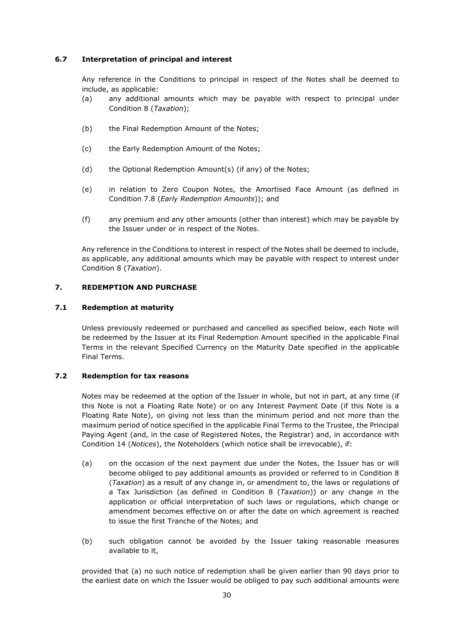#### **6.7 Interpretation of principal and interest**

Any reference in the Conditions to principal in respect of the Notes shall be deemed to include, as applicable:

- (a) any additional amounts which may be payable with respect to principal under Condition 8 (*Taxation*);
- (b) the Final Redemption Amount of the Notes;
- (c) the Early Redemption Amount of the Notes;
- (d) the Optional Redemption Amount(s) (if any) of the Notes;
- (e) in relation to Zero Coupon Notes, the Amortised Face Amount (as defined in Condition 7.8 (*Early Redemption Amounts*)); and
- (f) any premium and any other amounts (other than interest) which may be payable by the Issuer under or in respect of the Notes.

Any reference in the Conditions to interest in respect of the Notes shall be deemed to include, as applicable, any additional amounts which may be payable with respect to interest under Condition 8 (*Taxation*).

#### **7. REDEMPTION AND PURCHASE**

#### **7.1 Redemption at maturity**

Unless previously redeemed or purchased and cancelled as specified below, each Note will be redeemed by the Issuer at its Final Redemption Amount specified in the applicable Final Terms in the relevant Specified Currency on the Maturity Date specified in the applicable Final Terms.

#### **7.2 Redemption for tax reasons**

Notes may be redeemed at the option of the Issuer in whole, but not in part, at any time (if this Note is not a Floating Rate Note) or on any Interest Payment Date (if this Note is a Floating Rate Note), on giving not less than the minimum period and not more than the maximum period of notice specified in the applicable Final Terms to the Trustee, the Principal Paying Agent (and, in the case of Registered Notes, the Registrar) and, in accordance with Condition 14 (*Notices*), the Noteholders (which notice shall be irrevocable), if:

- (a) on the occasion of the next payment due under the Notes, the Issuer has or will become obliged to pay additional amounts as provided or referred to in Condition 8 (*Taxation*) as a result of any change in, or amendment to, the laws or regulations of a Tax Jurisdiction (as defined in Condition 8 (*Taxation*)) or any change in the application or official interpretation of such laws or regulations, which change or amendment becomes effective on or after the date on which agreement is reached to issue the first Tranche of the Notes; and
- (b) such obligation cannot be avoided by the Issuer taking reasonable measures available to it,

provided that (a) no such notice of redemption shall be given earlier than 90 days prior to the earliest date on which the Issuer would be obliged to pay such additional amounts were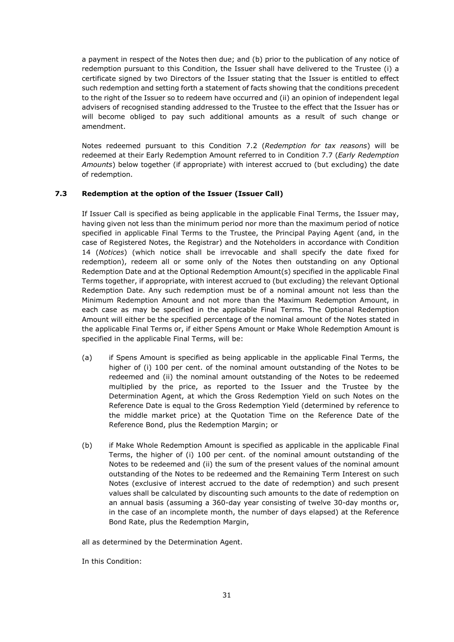a payment in respect of the Notes then due; and (b) prior to the publication of any notice of redemption pursuant to this Condition, the Issuer shall have delivered to the Trustee (i) a certificate signed by two Directors of the Issuer stating that the Issuer is entitled to effect such redemption and setting forth a statement of facts showing that the conditions precedent to the right of the Issuer so to redeem have occurred and (ii) an opinion of independent legal advisers of recognised standing addressed to the Trustee to the effect that the Issuer has or will become obliged to pay such additional amounts as a result of such change or amendment.

Notes redeemed pursuant to this Condition 7.2 (*Redemption for tax reasons*) will be redeemed at their Early Redemption Amount referred to in Condition 7.7 (*Early Redemption Amounts*) below together (if appropriate) with interest accrued to (but excluding) the date of redemption.

#### **7.3 Redemption at the option of the Issuer (Issuer Call)**

If Issuer Call is specified as being applicable in the applicable Final Terms, the Issuer may, having given not less than the minimum period nor more than the maximum period of notice specified in applicable Final Terms to the Trustee, the Principal Paying Agent (and, in the case of Registered Notes, the Registrar) and the Noteholders in accordance with Condition 14 (*Notices*) (which notice shall be irrevocable and shall specify the date fixed for redemption), redeem all or some only of the Notes then outstanding on any Optional Redemption Date and at the Optional Redemption Amount(s) specified in the applicable Final Terms together, if appropriate, with interest accrued to (but excluding) the relevant Optional Redemption Date. Any such redemption must be of a nominal amount not less than the Minimum Redemption Amount and not more than the Maximum Redemption Amount, in each case as may be specified in the applicable Final Terms. The Optional Redemption Amount will either be the specified percentage of the nominal amount of the Notes stated in the applicable Final Terms or, if either Spens Amount or Make Whole Redemption Amount is specified in the applicable Final Terms, will be:

- (a) if Spens Amount is specified as being applicable in the applicable Final Terms, the higher of (i) 100 per cent. of the nominal amount outstanding of the Notes to be redeemed and (ii) the nominal amount outstanding of the Notes to be redeemed multiplied by the price, as reported to the Issuer and the Trustee by the Determination Agent, at which the Gross Redemption Yield on such Notes on the Reference Date is equal to the Gross Redemption Yield (determined by reference to the middle market price) at the Quotation Time on the Reference Date of the Reference Bond, plus the Redemption Margin; or
- (b) if Make Whole Redemption Amount is specified as applicable in the applicable Final Terms, the higher of (i) 100 per cent. of the nominal amount outstanding of the Notes to be redeemed and (ii) the sum of the present values of the nominal amount outstanding of the Notes to be redeemed and the Remaining Term Interest on such Notes (exclusive of interest accrued to the date of redemption) and such present values shall be calculated by discounting such amounts to the date of redemption on an annual basis (assuming a 360-day year consisting of twelve 30-day months or, in the case of an incomplete month, the number of days elapsed) at the Reference Bond Rate, plus the Redemption Margin,

all as determined by the Determination Agent.

In this Condition: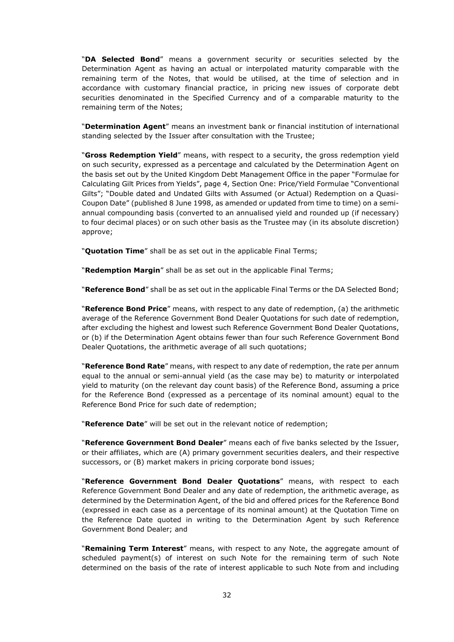"**DA Selected Bond**" means a government security or securities selected by the Determination Agent as having an actual or interpolated maturity comparable with the remaining term of the Notes, that would be utilised, at the time of selection and in accordance with customary financial practice, in pricing new issues of corporate debt securities denominated in the Specified Currency and of a comparable maturity to the remaining term of the Notes;

"**Determination Agent**" means an investment bank or financial institution of international standing selected by the Issuer after consultation with the Trustee;

"**Gross Redemption Yield**" means, with respect to a security, the gross redemption yield on such security, expressed as a percentage and calculated by the Determination Agent on the basis set out by the United Kingdom Debt Management Office in the paper "Formulae for Calculating Gilt Prices from Yields", page 4, Section One: Price/Yield Formulae "Conventional Gilts"; "Double dated and Undated Gilts with Assumed (or Actual) Redemption on a Quasi-Coupon Date" (published 8 June 1998, as amended or updated from time to time) on a semiannual compounding basis (converted to an annualised yield and rounded up (if necessary) to four decimal places) or on such other basis as the Trustee may (in its absolute discretion) approve;

"**Quotation Time**" shall be as set out in the applicable Final Terms;

"**Redemption Margin**" shall be as set out in the applicable Final Terms;

"**Reference Bond**" shall be as set out in the applicable Final Terms or the DA Selected Bond;

"**Reference Bond Price**" means, with respect to any date of redemption, (a) the arithmetic average of the Reference Government Bond Dealer Quotations for such date of redemption, after excluding the highest and lowest such Reference Government Bond Dealer Quotations, or (b) if the Determination Agent obtains fewer than four such Reference Government Bond Dealer Quotations, the arithmetic average of all such quotations;

"**Reference Bond Rate**" means, with respect to any date of redemption, the rate per annum equal to the annual or semi-annual yield (as the case may be) to maturity or interpolated yield to maturity (on the relevant day count basis) of the Reference Bond, assuming a price for the Reference Bond (expressed as a percentage of its nominal amount) equal to the Reference Bond Price for such date of redemption;

"**Reference Date**" will be set out in the relevant notice of redemption;

"**Reference Government Bond Dealer**" means each of five banks selected by the Issuer, or their affiliates, which are (A) primary government securities dealers, and their respective successors, or (B) market makers in pricing corporate bond issues;

"**Reference Government Bond Dealer Quotations**" means, with respect to each Reference Government Bond Dealer and any date of redemption, the arithmetic average, as determined by the Determination Agent, of the bid and offered prices for the Reference Bond (expressed in each case as a percentage of its nominal amount) at the Quotation Time on the Reference Date quoted in writing to the Determination Agent by such Reference Government Bond Dealer; and

"**Remaining Term Interest**" means, with respect to any Note, the aggregate amount of scheduled payment(s) of interest on such Note for the remaining term of such Note determined on the basis of the rate of interest applicable to such Note from and including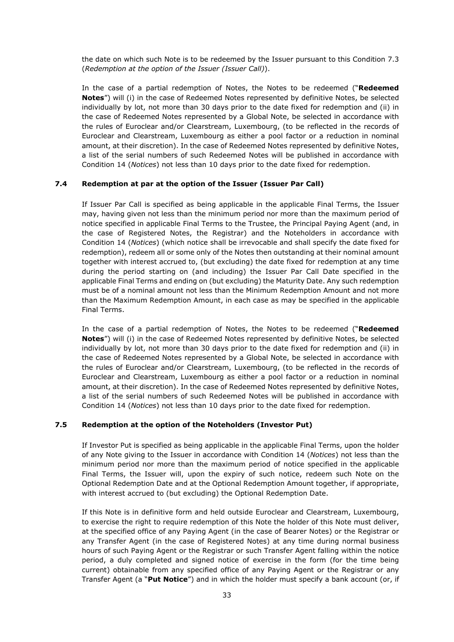the date on which such Note is to be redeemed by the Issuer pursuant to this Condition 7.3 (*Redemption at the option of the Issuer (Issuer Call)*).

In the case of a partial redemption of Notes, the Notes to be redeemed ("**Redeemed Notes**") will (i) in the case of Redeemed Notes represented by definitive Notes, be selected individually by lot, not more than 30 days prior to the date fixed for redemption and (ii) in the case of Redeemed Notes represented by a Global Note, be selected in accordance with the rules of Euroclear and/or Clearstream, Luxembourg, (to be reflected in the records of Euroclear and Clearstream, Luxembourg as either a pool factor or a reduction in nominal amount, at their discretion). In the case of Redeemed Notes represented by definitive Notes, a list of the serial numbers of such Redeemed Notes will be published in accordance with Condition 14 (*Notices*) not less than 10 days prior to the date fixed for redemption.

#### **7.4 Redemption at par at the option of the Issuer (Issuer Par Call)**

If Issuer Par Call is specified as being applicable in the applicable Final Terms, the Issuer may, having given not less than the minimum period nor more than the maximum period of notice specified in applicable Final Terms to the Trustee, the Principal Paying Agent (and, in the case of Registered Notes, the Registrar) and the Noteholders in accordance with Condition 14 (*Notices*) (which notice shall be irrevocable and shall specify the date fixed for redemption), redeem all or some only of the Notes then outstanding at their nominal amount together with interest accrued to, (but excluding) the date fixed for redemption at any time during the period starting on (and including) the Issuer Par Call Date specified in the applicable Final Terms and ending on (but excluding) the Maturity Date. Any such redemption must be of a nominal amount not less than the Minimum Redemption Amount and not more than the Maximum Redemption Amount, in each case as may be specified in the applicable Final Terms.

In the case of a partial redemption of Notes, the Notes to be redeemed ("**Redeemed Notes**") will (i) in the case of Redeemed Notes represented by definitive Notes, be selected individually by lot, not more than 30 days prior to the date fixed for redemption and (ii) in the case of Redeemed Notes represented by a Global Note, be selected in accordance with the rules of Euroclear and/or Clearstream, Luxembourg, (to be reflected in the records of Euroclear and Clearstream, Luxembourg as either a pool factor or a reduction in nominal amount, at their discretion). In the case of Redeemed Notes represented by definitive Notes, a list of the serial numbers of such Redeemed Notes will be published in accordance with Condition 14 (*Notices*) not less than 10 days prior to the date fixed for redemption.

#### **7.5 Redemption at the option of the Noteholders (Investor Put)**

If Investor Put is specified as being applicable in the applicable Final Terms, upon the holder of any Note giving to the Issuer in accordance with Condition 14 (*Notices*) not less than the minimum period nor more than the maximum period of notice specified in the applicable Final Terms, the Issuer will, upon the expiry of such notice, redeem such Note on the Optional Redemption Date and at the Optional Redemption Amount together, if appropriate, with interest accrued to (but excluding) the Optional Redemption Date.

If this Note is in definitive form and held outside Euroclear and Clearstream, Luxembourg, to exercise the right to require redemption of this Note the holder of this Note must deliver, at the specified office of any Paying Agent (in the case of Bearer Notes) or the Registrar or any Transfer Agent (in the case of Registered Notes) at any time during normal business hours of such Paying Agent or the Registrar or such Transfer Agent falling within the notice period, a duly completed and signed notice of exercise in the form (for the time being current) obtainable from any specified office of any Paying Agent or the Registrar or any Transfer Agent (a "**Put Notice**") and in which the holder must specify a bank account (or, if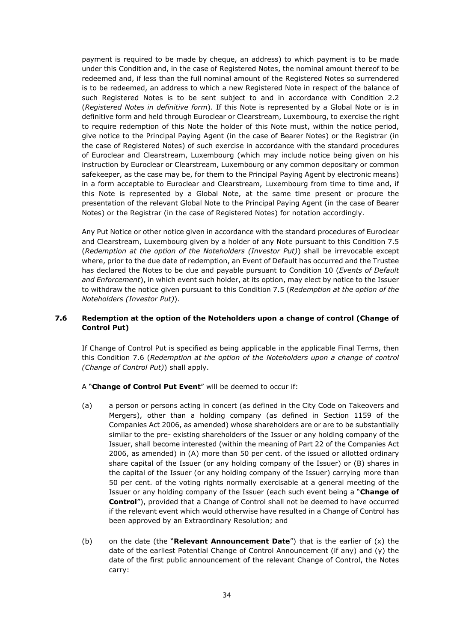payment is required to be made by cheque, an address) to which payment is to be made under this Condition and, in the case of Registered Notes, the nominal amount thereof to be redeemed and, if less than the full nominal amount of the Registered Notes so surrendered is to be redeemed, an address to which a new Registered Note in respect of the balance of such Registered Notes is to be sent subject to and in accordance with Condition 2.2 (*Registered Notes in definitive form*). If this Note is represented by a Global Note or is in definitive form and held through Euroclear or Clearstream, Luxembourg, to exercise the right to require redemption of this Note the holder of this Note must, within the notice period, give notice to the Principal Paying Agent (in the case of Bearer Notes) or the Registrar (in the case of Registered Notes) of such exercise in accordance with the standard procedures of Euroclear and Clearstream, Luxembourg (which may include notice being given on his instruction by Euroclear or Clearstream, Luxembourg or any common depositary or common safekeeper, as the case may be, for them to the Principal Paying Agent by electronic means) in a form acceptable to Euroclear and Clearstream, Luxembourg from time to time and, if this Note is represented by a Global Note, at the same time present or procure the presentation of the relevant Global Note to the Principal Paying Agent (in the case of Bearer Notes) or the Registrar (in the case of Registered Notes) for notation accordingly.

Any Put Notice or other notice given in accordance with the standard procedures of Euroclear and Clearstream, Luxembourg given by a holder of any Note pursuant to this Condition 7.5 (*Redemption at the option of the Noteholders (Investor Put)*) shall be irrevocable except where, prior to the due date of redemption, an Event of Default has occurred and the Trustee has declared the Notes to be due and payable pursuant to Condition 10 (*Events of Default and Enforcement*), in which event such holder, at its option, may elect by notice to the Issuer to withdraw the notice given pursuant to this Condition 7.5 (*Redemption at the option of the Noteholders (Investor Put)*).

#### **7.6 Redemption at the option of the Noteholders upon a change of control (Change of Control Put)**

If Change of Control Put is specified as being applicable in the applicable Final Terms, then this Condition 7.6 (*Redemption at the option of the Noteholders upon a change of control (Change of Control Put)*) shall apply.

A "**Change of Control Put Event**" will be deemed to occur if:

- (a) a person or persons acting in concert (as defined in the City Code on Takeovers and Mergers), other than a holding company (as defined in Section 1159 of the Companies Act 2006, as amended) whose shareholders are or are to be substantially similar to the pre- existing shareholders of the Issuer or any holding company of the Issuer, shall become interested (within the meaning of Part 22 of the Companies Act 2006, as amended) in (A) more than 50 per cent. of the issued or allotted ordinary share capital of the Issuer (or any holding company of the Issuer) or (B) shares in the capital of the Issuer (or any holding company of the Issuer) carrying more than 50 per cent. of the voting rights normally exercisable at a general meeting of the Issuer or any holding company of the Issuer (each such event being a "**Change of Control**"), provided that a Change of Control shall not be deemed to have occurred if the relevant event which would otherwise have resulted in a Change of Control has been approved by an Extraordinary Resolution; and
- (b) on the date (the "**Relevant Announcement Date**") that is the earlier of (x) the date of the earliest Potential Change of Control Announcement (if any) and (y) the date of the first public announcement of the relevant Change of Control, the Notes carry: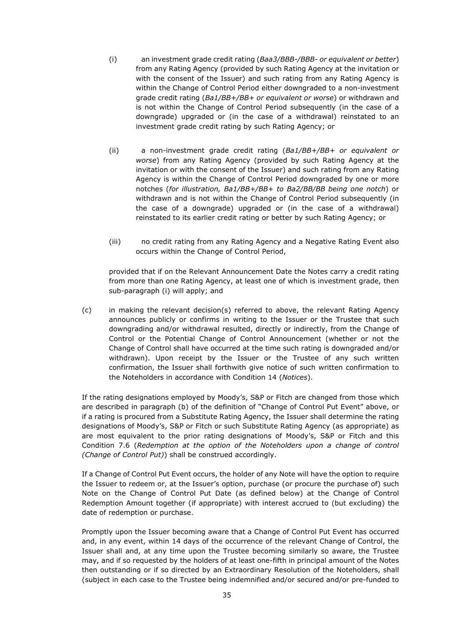- (i) an investment grade credit rating (*Baa3/BBB-/BBB- or equivalent or better*) from any Rating Agency (provided by such Rating Agency at the invitation or with the consent of the Issuer) and such rating from any Rating Agency is within the Change of Control Period either downgraded to a non-investment grade credit rating (*Ba1/BB+/BB+ or equivalent or worse*) or withdrawn and is not within the Change of Control Period subsequently (in the case of a downgrade) upgraded or (in the case of a withdrawal) reinstated to an investment grade credit rating by such Rating Agency; or
- (ii) a non-investment grade credit rating (*Ba1/BB+/BB+ or equivalent or worse*) from any Rating Agency (provided by such Rating Agency at the invitation or with the consent of the Issuer) and such rating from any Rating Agency is within the Change of Control Period downgraded by one or more notches (*for illustration, Ba1/BB+/BB+ to Ba2/BB/BB being one notch*) or withdrawn and is not within the Change of Control Period subsequently (in the case of a downgrade) upgraded or (in the case of a withdrawal) reinstated to its earlier credit rating or better by such Rating Agency; or
- (iii) no credit rating from any Rating Agency and a Negative Rating Event also occurs within the Change of Control Period,

provided that if on the Relevant Announcement Date the Notes carry a credit rating from more than one Rating Agency, at least one of which is investment grade, then sub-paragraph (i) will apply; and

(c) in making the relevant decision(s) referred to above, the relevant Rating Agency announces publicly or confirms in writing to the Issuer or the Trustee that such downgrading and/or withdrawal resulted, directly or indirectly, from the Change of Control or the Potential Change of Control Announcement (whether or not the Change of Control shall have occurred at the time such rating is downgraded and/or withdrawn). Upon receipt by the Issuer or the Trustee of any such written confirmation, the Issuer shall forthwith give notice of such written confirmation to the Noteholders in accordance with Condition 14 (*Notices*).

If the rating designations employed by Moody's, S&P or Fitch are changed from those which are described in paragraph (b) of the definition of "Change of Control Put Event" above, or if a rating is procured from a Substitute Rating Agency, the Issuer shall determine the rating designations of Moody's, S&P or Fitch or such Substitute Rating Agency (as appropriate) as are most equivalent to the prior rating designations of Moody's, S&P or Fitch and this Condition 7.6 (*Redemption at the option of the Noteholders upon a change of control (Change of Control Put)*) shall be construed accordingly.

If a Change of Control Put Event occurs, the holder of any Note will have the option to require the Issuer to redeem or, at the Issuer's option, purchase (or procure the purchase of) such Note on the Change of Control Put Date (as defined below) at the Change of Control Redemption Amount together (if appropriate) with interest accrued to (but excluding) the date of redemption or purchase.

Promptly upon the Issuer becoming aware that a Change of Control Put Event has occurred and, in any event, within 14 days of the occurrence of the relevant Change of Control, the Issuer shall and, at any time upon the Trustee becoming similarly so aware, the Trustee may, and if so requested by the holders of at least one-fifth in principal amount of the Notes then outstanding or if so directed by an Extraordinary Resolution of the Noteholders, shall (subject in each case to the Trustee being indemnified and/or secured and/or pre-funded to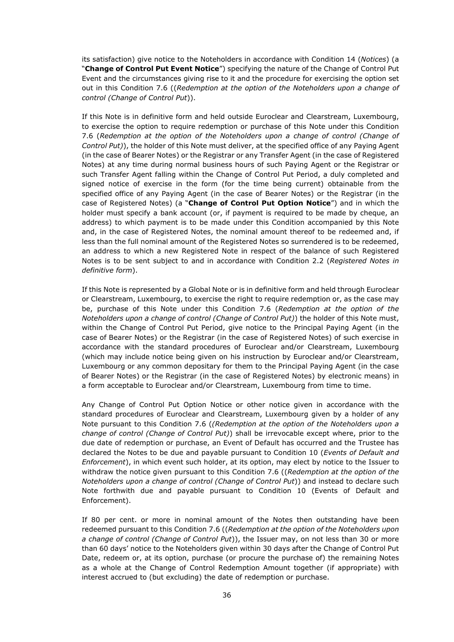its satisfaction) give notice to the Noteholders in accordance with Condition 14 (*Notices*) (a "**Change of Control Put Event Notice**") specifying the nature of the Change of Control Put Event and the circumstances giving rise to it and the procedure for exercising the option set out in this Condition 7.6 ((*Redemption at the option of the Noteholders upon a change of control (Change of Control Put*)).

If this Note is in definitive form and held outside Euroclear and Clearstream, Luxembourg, to exercise the option to require redemption or purchase of this Note under this Condition 7.6 (*Redemption at the option of the Noteholders upon a change of control (Change of Control Put)*), the holder of this Note must deliver, at the specified office of any Paying Agent (in the case of Bearer Notes) or the Registrar or any Transfer Agent (in the case of Registered Notes) at any time during normal business hours of such Paying Agent or the Registrar or such Transfer Agent falling within the Change of Control Put Period, a duly completed and signed notice of exercise in the form (for the time being current) obtainable from the specified office of any Paying Agent (in the case of Bearer Notes) or the Registrar (in the case of Registered Notes) (a "**Change of Control Put Option Notice**") and in which the holder must specify a bank account (or, if payment is required to be made by cheque, an address) to which payment is to be made under this Condition accompanied by this Note and, in the case of Registered Notes, the nominal amount thereof to be redeemed and, if less than the full nominal amount of the Registered Notes so surrendered is to be redeemed, an address to which a new Registered Note in respect of the balance of such Registered Notes is to be sent subject to and in accordance with Condition 2.2 (*Registered Notes in definitive form*).

If this Note is represented by a Global Note or is in definitive form and held through Euroclear or Clearstream, Luxembourg, to exercise the right to require redemption or, as the case may be, purchase of this Note under this Condition 7.6 (*Redemption at the option of the Noteholders upon a change of control (Change of Control Put)*) the holder of this Note must, within the Change of Control Put Period, give notice to the Principal Paying Agent (in the case of Bearer Notes) or the Registrar (in the case of Registered Notes) of such exercise in accordance with the standard procedures of Euroclear and/or Clearstream, Luxembourg (which may include notice being given on his instruction by Euroclear and/or Clearstream, Luxembourg or any common depositary for them to the Principal Paying Agent (in the case of Bearer Notes) or the Registrar (in the case of Registered Notes) by electronic means) in a form acceptable to Euroclear and/or Clearstream, Luxembourg from time to time.

Any Change of Control Put Option Notice or other notice given in accordance with the standard procedures of Euroclear and Clearstream, Luxembourg given by a holder of any Note pursuant to this Condition 7.6 (*(Redemption at the option of the Noteholders upon a change of control (Change of Control Put)*) shall be irrevocable except where, prior to the due date of redemption or purchase, an Event of Default has occurred and the Trustee has declared the Notes to be due and payable pursuant to Condition 10 (*Events of Default and Enforcement*), in which event such holder, at its option, may elect by notice to the Issuer to withdraw the notice given pursuant to this Condition 7.6 ((*Redemption at the option of the Noteholders upon a change of control (Change of Control Put*)) and instead to declare such Note forthwith due and payable pursuant to Condition 10 (Events of Default and Enforcement).

If 80 per cent. or more in nominal amount of the Notes then outstanding have been redeemed pursuant to this Condition 7.6 ((*Redemption at the option of the Noteholders upon a change of control (Change of Control Put*)), the Issuer may, on not less than 30 or more than 60 days' notice to the Noteholders given within 30 days after the Change of Control Put Date, redeem or, at its option, purchase (or procure the purchase of) the remaining Notes as a whole at the Change of Control Redemption Amount together (if appropriate) with interest accrued to (but excluding) the date of redemption or purchase.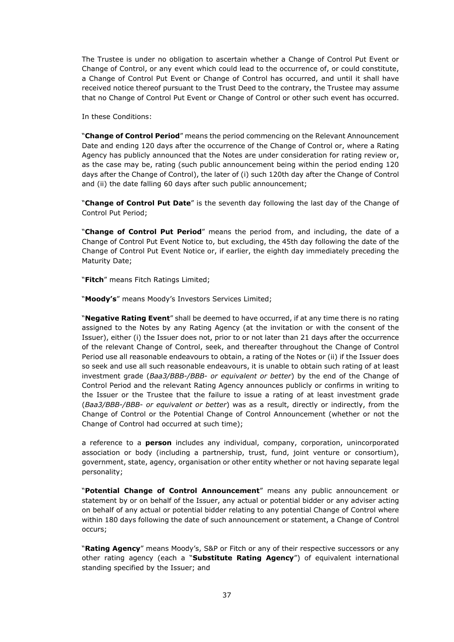The Trustee is under no obligation to ascertain whether a Change of Control Put Event or Change of Control, or any event which could lead to the occurrence of, or could constitute, a Change of Control Put Event or Change of Control has occurred, and until it shall have received notice thereof pursuant to the Trust Deed to the contrary, the Trustee may assume that no Change of Control Put Event or Change of Control or other such event has occurred.

In these Conditions:

"**Change of Control Period**" means the period commencing on the Relevant Announcement Date and ending 120 days after the occurrence of the Change of Control or, where a Rating Agency has publicly announced that the Notes are under consideration for rating review or, as the case may be, rating (such public announcement being within the period ending 120 days after the Change of Control), the later of (i) such 120th day after the Change of Control and (ii) the date falling 60 days after such public announcement;

"**Change of Control Put Date**" is the seventh day following the last day of the Change of Control Put Period;

"**Change of Control Put Period**" means the period from, and including, the date of a Change of Control Put Event Notice to, but excluding, the 45th day following the date of the Change of Control Put Event Notice or, if earlier, the eighth day immediately preceding the Maturity Date;

"**Fitch**" means Fitch Ratings Limited;

"**Moody's**" means Moody's Investors Services Limited;

"**Negative Rating Event**" shall be deemed to have occurred, if at any time there is no rating assigned to the Notes by any Rating Agency (at the invitation or with the consent of the Issuer), either (i) the Issuer does not, prior to or not later than 21 days after the occurrence of the relevant Change of Control, seek, and thereafter throughout the Change of Control Period use all reasonable endeavours to obtain, a rating of the Notes or (ii) if the Issuer does so seek and use all such reasonable endeavours, it is unable to obtain such rating of at least investment grade (*Baa3/BBB-/BBB- or equivalent or better*) by the end of the Change of Control Period and the relevant Rating Agency announces publicly or confirms in writing to the Issuer or the Trustee that the failure to issue a rating of at least investment grade (*Baa3/BBB-/BBB- or equivalent or better*) was as a result, directly or indirectly, from the Change of Control or the Potential Change of Control Announcement (whether or not the Change of Control had occurred at such time);

a reference to a **person** includes any individual, company, corporation, unincorporated association or body (including a partnership, trust, fund, joint venture or consortium), government, state, agency, organisation or other entity whether or not having separate legal personality;

"**Potential Change of Control Announcement**" means any public announcement or statement by or on behalf of the Issuer, any actual or potential bidder or any adviser acting on behalf of any actual or potential bidder relating to any potential Change of Control where within 180 days following the date of such announcement or statement, a Change of Control occurs;

"**Rating Agency**" means Moody's, S&P or Fitch or any of their respective successors or any other rating agency (each a "**Substitute Rating Agency**") of equivalent international standing specified by the Issuer; and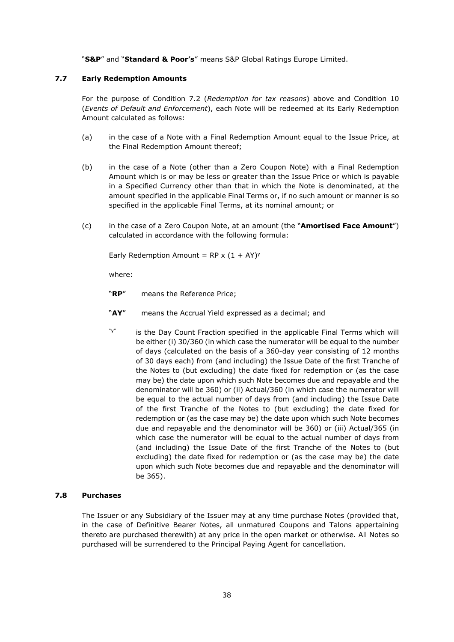"**S&P**" and "**Standard & Poor's**" means S&P Global Ratings Europe Limited.

#### **7.7 Early Redemption Amounts**

For the purpose of Condition 7.2 (*Redemption for tax reasons*) above and Condition 10 (*Events of Default and Enforcement*), each Note will be redeemed at its Early Redemption Amount calculated as follows:

- (a) in the case of a Note with a Final Redemption Amount equal to the Issue Price, at the Final Redemption Amount thereof;
- (b) in the case of a Note (other than a Zero Coupon Note) with a Final Redemption Amount which is or may be less or greater than the Issue Price or which is payable in a Specified Currency other than that in which the Note is denominated, at the amount specified in the applicable Final Terms or, if no such amount or manner is so specified in the applicable Final Terms, at its nominal amount; or
- (c) in the case of a Zero Coupon Note, at an amount (the "**Amortised Face Amount**") calculated in accordance with the following formula:

Early Redemption Amount =  $RP \times (1 + AY)^y$ 

where:

"**RP**" means the Reference Price;

- "**AY**" means the Accrual Yield expressed as a decimal; and
- "y" is the Day Count Fraction specified in the applicable Final Terms which will be either (i) 30/360 (in which case the numerator will be equal to the number of days (calculated on the basis of a 360-day year consisting of 12 months of 30 days each) from (and including) the Issue Date of the first Tranche of the Notes to (but excluding) the date fixed for redemption or (as the case may be) the date upon which such Note becomes due and repayable and the denominator will be 360) or (ii) Actual/360 (in which case the numerator will be equal to the actual number of days from (and including) the Issue Date of the first Tranche of the Notes to (but excluding) the date fixed for redemption or (as the case may be) the date upon which such Note becomes due and repayable and the denominator will be 360) or (iii) Actual/365 (in which case the numerator will be equal to the actual number of days from (and including) the Issue Date of the first Tranche of the Notes to (but excluding) the date fixed for redemption or (as the case may be) the date upon which such Note becomes due and repayable and the denominator will be 365).

#### **7.8 Purchases**

The Issuer or any Subsidiary of the Issuer may at any time purchase Notes (provided that, in the case of Definitive Bearer Notes, all unmatured Coupons and Talons appertaining thereto are purchased therewith) at any price in the open market or otherwise. All Notes so purchased will be surrendered to the Principal Paying Agent for cancellation.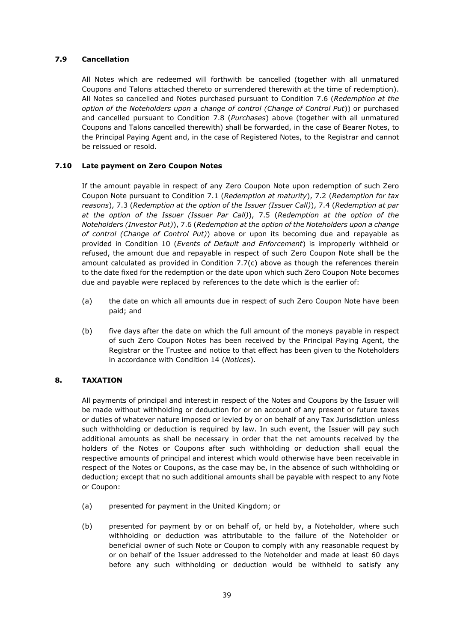#### **7.9 Cancellation**

All Notes which are redeemed will forthwith be cancelled (together with all unmatured Coupons and Talons attached thereto or surrendered therewith at the time of redemption). All Notes so cancelled and Notes purchased pursuant to Condition 7.6 (*Redemption at the option of the Noteholders upon a change of control (Change of Control Put*)) or purchased and cancelled pursuant to Condition 7.8 (*Purchases*) above (together with all unmatured Coupons and Talons cancelled therewith) shall be forwarded, in the case of Bearer Notes, to the Principal Paying Agent and, in the case of Registered Notes, to the Registrar and cannot be reissued or resold.

#### **7.10 Late payment on Zero Coupon Notes**

If the amount payable in respect of any Zero Coupon Note upon redemption of such Zero Coupon Note pursuant to Condition 7.1 (*Redemption at maturity*), 7.2 (*Redemption for tax reasons*), 7.3 (*Redemption at the option of the Issuer (Issuer Call)*), 7.4 (*Redemption at par at the option of the Issuer (Issuer Par Call)*), 7.5 (*Redemption at the option of the Noteholders (Investor Put)*), 7.6 (*Redemption at the option of the Noteholders upon a change of control (Change of Control Put)*) above or upon its becoming due and repayable as provided in Condition 10 (*Events of Default and Enforcement*) is improperly withheld or refused, the amount due and repayable in respect of such Zero Coupon Note shall be the amount calculated as provided in Condition 7.7(c) above as though the references therein to the date fixed for the redemption or the date upon which such Zero Coupon Note becomes due and payable were replaced by references to the date which is the earlier of:

- (a) the date on which all amounts due in respect of such Zero Coupon Note have been paid; and
- (b) five days after the date on which the full amount of the moneys payable in respect of such Zero Coupon Notes has been received by the Principal Paying Agent, the Registrar or the Trustee and notice to that effect has been given to the Noteholders in accordance with Condition 14 (*Notices*).

#### **8. TAXATION**

All payments of principal and interest in respect of the Notes and Coupons by the Issuer will be made without withholding or deduction for or on account of any present or future taxes or duties of whatever nature imposed or levied by or on behalf of any Tax Jurisdiction unless such withholding or deduction is required by law. In such event, the Issuer will pay such additional amounts as shall be necessary in order that the net amounts received by the holders of the Notes or Coupons after such withholding or deduction shall equal the respective amounts of principal and interest which would otherwise have been receivable in respect of the Notes or Coupons, as the case may be, in the absence of such withholding or deduction; except that no such additional amounts shall be payable with respect to any Note or Coupon:

- (a) presented for payment in the United Kingdom; or
- (b) presented for payment by or on behalf of, or held by, a Noteholder, where such withholding or deduction was attributable to the failure of the Noteholder or beneficial owner of such Note or Coupon to comply with any reasonable request by or on behalf of the Issuer addressed to the Noteholder and made at least 60 days before any such withholding or deduction would be withheld to satisfy any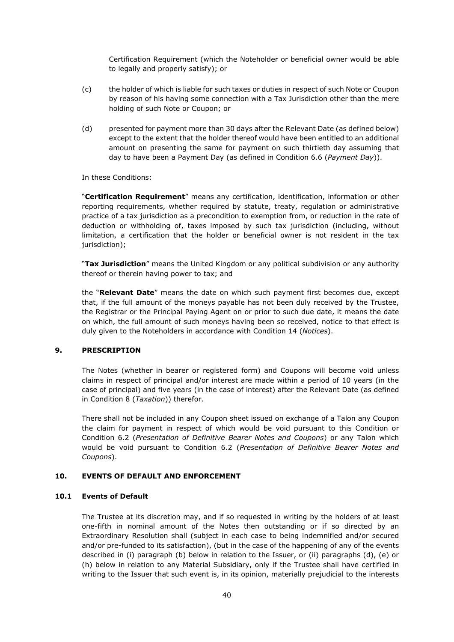Certification Requirement (which the Noteholder or beneficial owner would be able to legally and properly satisfy); or

- (c) the holder of which is liable for such taxes or duties in respect of such Note or Coupon by reason of his having some connection with a Tax Jurisdiction other than the mere holding of such Note or Coupon; or
- (d) presented for payment more than 30 days after the Relevant Date (as defined below) except to the extent that the holder thereof would have been entitled to an additional amount on presenting the same for payment on such thirtieth day assuming that day to have been a Payment Day (as defined in Condition 6.6 (*Payment Day*)).

In these Conditions:

"**Certification Requirement**" means any certification, identification, information or other reporting requirements, whether required by statute, treaty, regulation or administrative practice of a tax jurisdiction as a precondition to exemption from, or reduction in the rate of deduction or withholding of, taxes imposed by such tax jurisdiction (including, without limitation, a certification that the holder or beneficial owner is not resident in the tax jurisdiction);

"**Tax Jurisdiction**" means the United Kingdom or any political subdivision or any authority thereof or therein having power to tax; and

the "**Relevant Date**" means the date on which such payment first becomes due, except that, if the full amount of the moneys payable has not been duly received by the Trustee, the Registrar or the Principal Paying Agent on or prior to such due date, it means the date on which, the full amount of such moneys having been so received, notice to that effect is duly given to the Noteholders in accordance with Condition 14 (*Notices*).

#### **9. PRESCRIPTION**

The Notes (whether in bearer or registered form) and Coupons will become void unless claims in respect of principal and/or interest are made within a period of 10 years (in the case of principal) and five years (in the case of interest) after the Relevant Date (as defined in Condition 8 (*Taxation*)) therefor.

There shall not be included in any Coupon sheet issued on exchange of a Talon any Coupon the claim for payment in respect of which would be void pursuant to this Condition or Condition 6.2 (*Presentation of Definitive Bearer Notes and Coupons*) or any Talon which would be void pursuant to Condition 6.2 (*Presentation of Definitive Bearer Notes and Coupons*).

#### **10. EVENTS OF DEFAULT AND ENFORCEMENT**

#### **10.1 Events of Default**

The Trustee at its discretion may, and if so requested in writing by the holders of at least one-fifth in nominal amount of the Notes then outstanding or if so directed by an Extraordinary Resolution shall (subject in each case to being indemnified and/or secured and/or pre-funded to its satisfaction), (but in the case of the happening of any of the events described in (i) paragraph (b) below in relation to the Issuer, or (ii) paragraphs (d), (e) or (h) below in relation to any Material Subsidiary, only if the Trustee shall have certified in writing to the Issuer that such event is, in its opinion, materially prejudicial to the interests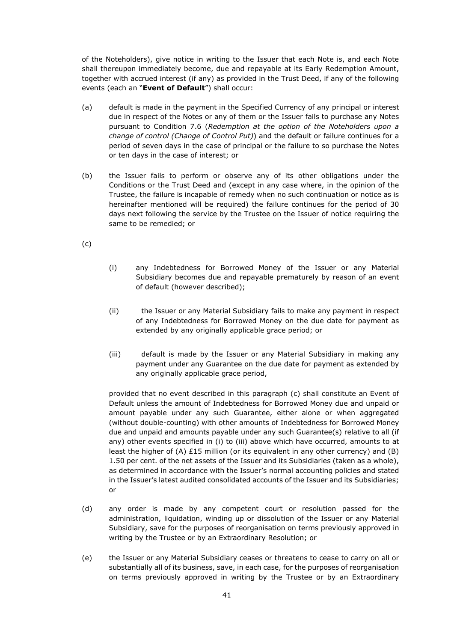of the Noteholders), give notice in writing to the Issuer that each Note is, and each Note shall thereupon immediately become, due and repayable at its Early Redemption Amount, together with accrued interest (if any) as provided in the Trust Deed, if any of the following events (each an "**Event of Default**") shall occur:

- (a) default is made in the payment in the Specified Currency of any principal or interest due in respect of the Notes or any of them or the Issuer fails to purchase any Notes pursuant to Condition 7.6 (*Redemption at the option of the Noteholders upon a change of control (Change of Control Put)*) and the default or failure continues for a period of seven days in the case of principal or the failure to so purchase the Notes or ten days in the case of interest; or
- (b) the Issuer fails to perform or observe any of its other obligations under the Conditions or the Trust Deed and (except in any case where, in the opinion of the Trustee, the failure is incapable of remedy when no such continuation or notice as is hereinafter mentioned will be required) the failure continues for the period of 30 days next following the service by the Trustee on the Issuer of notice requiring the same to be remedied; or
- (c)
- (i) any Indebtedness for Borrowed Money of the Issuer or any Material Subsidiary becomes due and repayable prematurely by reason of an event of default (however described);
- (ii) the Issuer or any Material Subsidiary fails to make any payment in respect of any Indebtedness for Borrowed Money on the due date for payment as extended by any originally applicable grace period; or
- (iii) default is made by the Issuer or any Material Subsidiary in making any payment under any Guarantee on the due date for payment as extended by any originally applicable grace period,

provided that no event described in this paragraph (c) shall constitute an Event of Default unless the amount of Indebtedness for Borrowed Money due and unpaid or amount payable under any such Guarantee, either alone or when aggregated (without double-counting) with other amounts of Indebtedness for Borrowed Money due and unpaid and amounts payable under any such Guarantee(s) relative to all (if any) other events specified in (i) to (iii) above which have occurred, amounts to at least the higher of (A)  $£15$  million (or its equivalent in any other currency) and (B) 1.50 per cent. of the net assets of the Issuer and its Subsidiaries (taken as a whole), as determined in accordance with the Issuer's normal accounting policies and stated in the Issuer's latest audited consolidated accounts of the Issuer and its Subsidiaries; or

- (d) any order is made by any competent court or resolution passed for the administration, liquidation, winding up or dissolution of the Issuer or any Material Subsidiary, save for the purposes of reorganisation on terms previously approved in writing by the Trustee or by an Extraordinary Resolution; or
- (e) the Issuer or any Material Subsidiary ceases or threatens to cease to carry on all or substantially all of its business, save, in each case, for the purposes of reorganisation on terms previously approved in writing by the Trustee or by an Extraordinary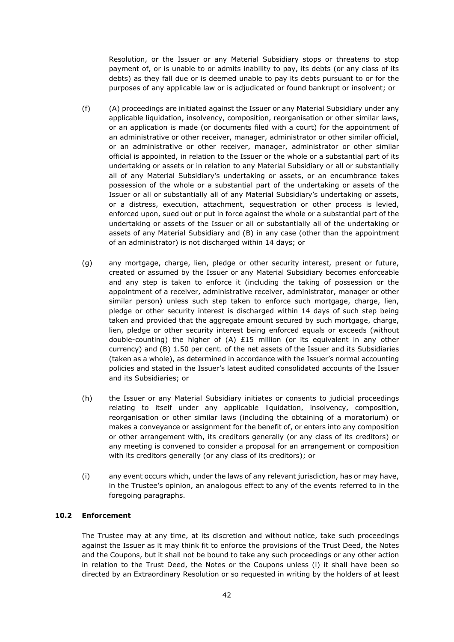Resolution, or the Issuer or any Material Subsidiary stops or threatens to stop payment of, or is unable to or admits inability to pay, its debts (or any class of its debts) as they fall due or is deemed unable to pay its debts pursuant to or for the purposes of any applicable law or is adjudicated or found bankrupt or insolvent; or

- (f) (A) proceedings are initiated against the Issuer or any Material Subsidiary under any applicable liquidation, insolvency, composition, reorganisation or other similar laws, or an application is made (or documents filed with a court) for the appointment of an administrative or other receiver, manager, administrator or other similar official, or an administrative or other receiver, manager, administrator or other similar official is appointed, in relation to the Issuer or the whole or a substantial part of its undertaking or assets or in relation to any Material Subsidiary or all or substantially all of any Material Subsidiary's undertaking or assets, or an encumbrance takes possession of the whole or a substantial part of the undertaking or assets of the Issuer or all or substantially all of any Material Subsidiary's undertaking or assets, or a distress, execution, attachment, sequestration or other process is levied, enforced upon, sued out or put in force against the whole or a substantial part of the undertaking or assets of the Issuer or all or substantially all of the undertaking or assets of any Material Subsidiary and (B) in any case (other than the appointment of an administrator) is not discharged within 14 days; or
- (g) any mortgage, charge, lien, pledge or other security interest, present or future, created or assumed by the Issuer or any Material Subsidiary becomes enforceable and any step is taken to enforce it (including the taking of possession or the appointment of a receiver, administrative receiver, administrator, manager or other similar person) unless such step taken to enforce such mortgage, charge, lien, pledge or other security interest is discharged within 14 days of such step being taken and provided that the aggregate amount secured by such mortgage, charge, lien, pledge or other security interest being enforced equals or exceeds (without double-counting) the higher of (A) £15 million (or its equivalent in any other currency) and (B) 1.50 per cent. of the net assets of the Issuer and its Subsidiaries (taken as a whole), as determined in accordance with the Issuer's normal accounting policies and stated in the Issuer's latest audited consolidated accounts of the Issuer and its Subsidiaries; or
- (h) the Issuer or any Material Subsidiary initiates or consents to judicial proceedings relating to itself under any applicable liquidation, insolvency, composition, reorganisation or other similar laws (including the obtaining of a moratorium) or makes a conveyance or assignment for the benefit of, or enters into any composition or other arrangement with, its creditors generally (or any class of its creditors) or any meeting is convened to consider a proposal for an arrangement or composition with its creditors generally (or any class of its creditors); or
- (i) any event occurs which, under the laws of any relevant jurisdiction, has or may have, in the Trustee's opinion, an analogous effect to any of the events referred to in the foregoing paragraphs.

#### **10.2 Enforcement**

The Trustee may at any time, at its discretion and without notice, take such proceedings against the Issuer as it may think fit to enforce the provisions of the Trust Deed, the Notes and the Coupons, but it shall not be bound to take any such proceedings or any other action in relation to the Trust Deed, the Notes or the Coupons unless (i) it shall have been so directed by an Extraordinary Resolution or so requested in writing by the holders of at least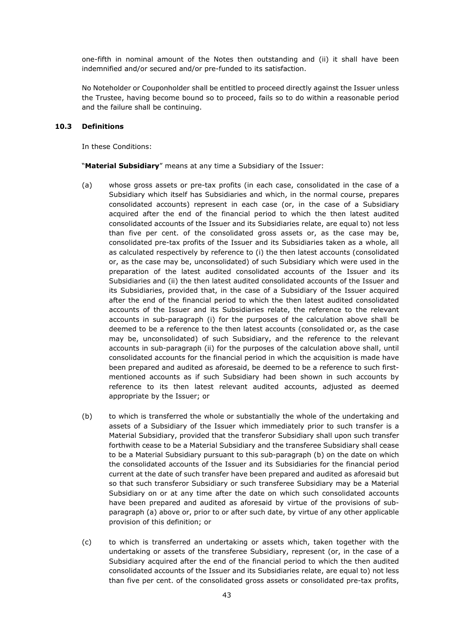one-fifth in nominal amount of the Notes then outstanding and (ii) it shall have been indemnified and/or secured and/or pre-funded to its satisfaction.

No Noteholder or Couponholder shall be entitled to proceed directly against the Issuer unless the Trustee, having become bound so to proceed, fails so to do within a reasonable period and the failure shall be continuing.

#### **10.3 Definitions**

In these Conditions:

"**Material Subsidiary**" means at any time a Subsidiary of the Issuer:

- (a) whose gross assets or pre-tax profits (in each case, consolidated in the case of a Subsidiary which itself has Subsidiaries and which, in the normal course, prepares consolidated accounts) represent in each case (or, in the case of a Subsidiary acquired after the end of the financial period to which the then latest audited consolidated accounts of the Issuer and its Subsidiaries relate, are equal to) not less than five per cent. of the consolidated gross assets or, as the case may be, consolidated pre-tax profits of the Issuer and its Subsidiaries taken as a whole, all as calculated respectively by reference to (i) the then latest accounts (consolidated or, as the case may be, unconsolidated) of such Subsidiary which were used in the preparation of the latest audited consolidated accounts of the Issuer and its Subsidiaries and (ii) the then latest audited consolidated accounts of the Issuer and its Subsidiaries, provided that, in the case of a Subsidiary of the Issuer acquired after the end of the financial period to which the then latest audited consolidated accounts of the Issuer and its Subsidiaries relate, the reference to the relevant accounts in sub-paragraph (i) for the purposes of the calculation above shall be deemed to be a reference to the then latest accounts (consolidated or, as the case may be, unconsolidated) of such Subsidiary, and the reference to the relevant accounts in sub-paragraph (ii) for the purposes of the calculation above shall, until consolidated accounts for the financial period in which the acquisition is made have been prepared and audited as aforesaid, be deemed to be a reference to such firstmentioned accounts as if such Subsidiary had been shown in such accounts by reference to its then latest relevant audited accounts, adjusted as deemed appropriate by the Issuer; or
- (b) to which is transferred the whole or substantially the whole of the undertaking and assets of a Subsidiary of the Issuer which immediately prior to such transfer is a Material Subsidiary, provided that the transferor Subsidiary shall upon such transfer forthwith cease to be a Material Subsidiary and the transferee Subsidiary shall cease to be a Material Subsidiary pursuant to this sub-paragraph (b) on the date on which the consolidated accounts of the Issuer and its Subsidiaries for the financial period current at the date of such transfer have been prepared and audited as aforesaid but so that such transferor Subsidiary or such transferee Subsidiary may be a Material Subsidiary on or at any time after the date on which such consolidated accounts have been prepared and audited as aforesaid by virtue of the provisions of subparagraph (a) above or, prior to or after such date, by virtue of any other applicable provision of this definition; or
- (c) to which is transferred an undertaking or assets which, taken together with the undertaking or assets of the transferee Subsidiary, represent (or, in the case of a Subsidiary acquired after the end of the financial period to which the then audited consolidated accounts of the Issuer and its Subsidiaries relate, are equal to) not less than five per cent. of the consolidated gross assets or consolidated pre-tax profits,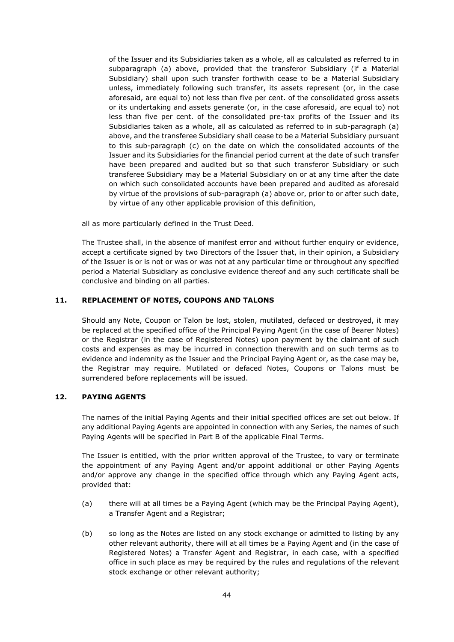of the Issuer and its Subsidiaries taken as a whole, all as calculated as referred to in subparagraph (a) above, provided that the transferor Subsidiary (if a Material Subsidiary) shall upon such transfer forthwith cease to be a Material Subsidiary unless, immediately following such transfer, its assets represent (or, in the case aforesaid, are equal to) not less than five per cent. of the consolidated gross assets or its undertaking and assets generate (or, in the case aforesaid, are equal to) not less than five per cent. of the consolidated pre-tax profits of the Issuer and its Subsidiaries taken as a whole, all as calculated as referred to in sub-paragraph (a) above, and the transferee Subsidiary shall cease to be a Material Subsidiary pursuant to this sub-paragraph (c) on the date on which the consolidated accounts of the Issuer and its Subsidiaries for the financial period current at the date of such transfer have been prepared and audited but so that such transferor Subsidiary or such transferee Subsidiary may be a Material Subsidiary on or at any time after the date on which such consolidated accounts have been prepared and audited as aforesaid by virtue of the provisions of sub-paragraph (a) above or, prior to or after such date, by virtue of any other applicable provision of this definition,

all as more particularly defined in the Trust Deed.

The Trustee shall, in the absence of manifest error and without further enquiry or evidence, accept a certificate signed by two Directors of the Issuer that, in their opinion, a Subsidiary of the Issuer is or is not or was or was not at any particular time or throughout any specified period a Material Subsidiary as conclusive evidence thereof and any such certificate shall be conclusive and binding on all parties.

#### **11. REPLACEMENT OF NOTES, COUPONS AND TALONS**

Should any Note, Coupon or Talon be lost, stolen, mutilated, defaced or destroyed, it may be replaced at the specified office of the Principal Paying Agent (in the case of Bearer Notes) or the Registrar (in the case of Registered Notes) upon payment by the claimant of such costs and expenses as may be incurred in connection therewith and on such terms as to evidence and indemnity as the Issuer and the Principal Paying Agent or, as the case may be, the Registrar may require. Mutilated or defaced Notes, Coupons or Talons must be surrendered before replacements will be issued.

#### **12. PAYING AGENTS**

The names of the initial Paying Agents and their initial specified offices are set out below. If any additional Paying Agents are appointed in connection with any Series, the names of such Paying Agents will be specified in Part B of the applicable Final Terms.

The Issuer is entitled, with the prior written approval of the Trustee, to vary or terminate the appointment of any Paying Agent and/or appoint additional or other Paying Agents and/or approve any change in the specified office through which any Paying Agent acts, provided that:

- (a) there will at all times be a Paying Agent (which may be the Principal Paying Agent), a Transfer Agent and a Registrar;
- (b) so long as the Notes are listed on any stock exchange or admitted to listing by any other relevant authority, there will at all times be a Paying Agent and (in the case of Registered Notes) a Transfer Agent and Registrar, in each case, with a specified office in such place as may be required by the rules and regulations of the relevant stock exchange or other relevant authority;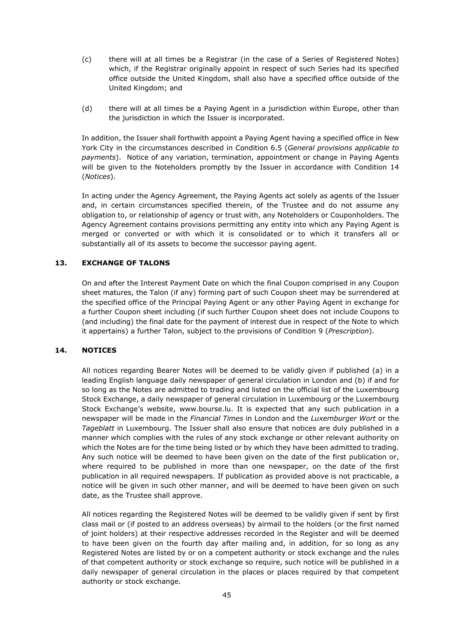- (c) there will at all times be a Registrar (in the case of a Series of Registered Notes) which, if the Registrar originally appoint in respect of such Series had its specified office outside the United Kingdom, shall also have a specified office outside of the United Kingdom; and
- (d) there will at all times be a Paying Agent in a jurisdiction within Europe, other than the jurisdiction in which the Issuer is incorporated.

In addition, the Issuer shall forthwith appoint a Paying Agent having a specified office in New York City in the circumstances described in Condition 6.5 (*General provisions applicable to payments*). Notice of any variation, termination, appointment or change in Paying Agents will be given to the Noteholders promptly by the Issuer in accordance with Condition 14 (*Notices*).

In acting under the Agency Agreement, the Paying Agents act solely as agents of the Issuer and, in certain circumstances specified therein, of the Trustee and do not assume any obligation to, or relationship of agency or trust with, any Noteholders or Couponholders. The Agency Agreement contains provisions permitting any entity into which any Paying Agent is merged or converted or with which it is consolidated or to which it transfers all or substantially all of its assets to become the successor paying agent.

#### **13. EXCHANGE OF TALONS**

On and after the Interest Payment Date on which the final Coupon comprised in any Coupon sheet matures, the Talon (if any) forming part of such Coupon sheet may be surrendered at the specified office of the Principal Paying Agent or any other Paying Agent in exchange for a further Coupon sheet including (if such further Coupon sheet does not include Coupons to (and including) the final date for the payment of interest due in respect of the Note to which it appertains) a further Talon, subject to the provisions of Condition 9 (*Prescription*).

#### **14. NOTICES**

All notices regarding Bearer Notes will be deemed to be validly given if published (a) in a leading English language daily newspaper of general circulation in London and (b) if and for so long as the Notes are admitted to trading and listed on the official list of the Luxembourg Stock Exchange, a daily newspaper of general circulation in Luxembourg or the Luxembourg Stock Exchange's website, www.bourse.lu. It is expected that any such publication in a newspaper will be made in the *Financial Times* in London and the *Luxemburger Wort* or the *Tageblatt* in Luxembourg. The Issuer shall also ensure that notices are duly published in a manner which complies with the rules of any stock exchange or other relevant authority on which the Notes are for the time being listed or by which they have been admitted to trading. Any such notice will be deemed to have been given on the date of the first publication or, where required to be published in more than one newspaper, on the date of the first publication in all required newspapers. If publication as provided above is not practicable, a notice will be given in such other manner, and will be deemed to have been given on such date, as the Trustee shall approve.

All notices regarding the Registered Notes will be deemed to be validly given if sent by first class mail or (if posted to an address overseas) by airmail to the holders (or the first named of joint holders) at their respective addresses recorded in the Register and will be deemed to have been given on the fourth day after mailing and, in addition, for so long as any Registered Notes are listed by or on a competent authority or stock exchange and the rules of that competent authority or stock exchange so require, such notice will be published in a daily newspaper of general circulation in the places or places required by that competent authority or stock exchange.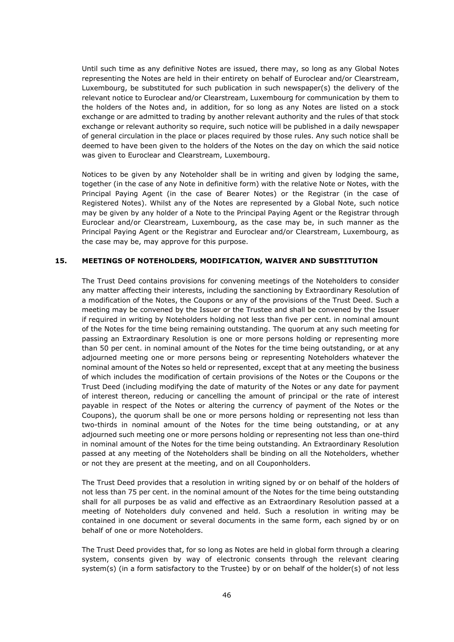Until such time as any definitive Notes are issued, there may, so long as any Global Notes representing the Notes are held in their entirety on behalf of Euroclear and/or Clearstream, Luxembourg, be substituted for such publication in such newspaper(s) the delivery of the relevant notice to Euroclear and/or Clearstream, Luxembourg for communication by them to the holders of the Notes and, in addition, for so long as any Notes are listed on a stock exchange or are admitted to trading by another relevant authority and the rules of that stock exchange or relevant authority so require, such notice will be published in a daily newspaper of general circulation in the place or places required by those rules. Any such notice shall be deemed to have been given to the holders of the Notes on the day on which the said notice was given to Euroclear and Clearstream, Luxembourg.

Notices to be given by any Noteholder shall be in writing and given by lodging the same, together (in the case of any Note in definitive form) with the relative Note or Notes, with the Principal Paying Agent (in the case of Bearer Notes) or the Registrar (in the case of Registered Notes). Whilst any of the Notes are represented by a Global Note, such notice may be given by any holder of a Note to the Principal Paying Agent or the Registrar through Euroclear and/or Clearstream, Luxembourg, as the case may be, in such manner as the Principal Paying Agent or the Registrar and Euroclear and/or Clearstream, Luxembourg, as the case may be, may approve for this purpose.

#### **15. MEETINGS OF NOTEHOLDERS, MODIFICATION, WAIVER AND SUBSTITUTION**

The Trust Deed contains provisions for convening meetings of the Noteholders to consider any matter affecting their interests, including the sanctioning by Extraordinary Resolution of a modification of the Notes, the Coupons or any of the provisions of the Trust Deed. Such a meeting may be convened by the Issuer or the Trustee and shall be convened by the Issuer if required in writing by Noteholders holding not less than five per cent. in nominal amount of the Notes for the time being remaining outstanding. The quorum at any such meeting for passing an Extraordinary Resolution is one or more persons holding or representing more than 50 per cent. in nominal amount of the Notes for the time being outstanding, or at any adjourned meeting one or more persons being or representing Noteholders whatever the nominal amount of the Notes so held or represented, except that at any meeting the business of which includes the modification of certain provisions of the Notes or the Coupons or the Trust Deed (including modifying the date of maturity of the Notes or any date for payment of interest thereon, reducing or cancelling the amount of principal or the rate of interest payable in respect of the Notes or altering the currency of payment of the Notes or the Coupons), the quorum shall be one or more persons holding or representing not less than two-thirds in nominal amount of the Notes for the time being outstanding, or at any adjourned such meeting one or more persons holding or representing not less than one-third in nominal amount of the Notes for the time being outstanding. An Extraordinary Resolution passed at any meeting of the Noteholders shall be binding on all the Noteholders, whether or not they are present at the meeting, and on all Couponholders.

The Trust Deed provides that a resolution in writing signed by or on behalf of the holders of not less than 75 per cent. in the nominal amount of the Notes for the time being outstanding shall for all purposes be as valid and effective as an Extraordinary Resolution passed at a meeting of Noteholders duly convened and held. Such a resolution in writing may be contained in one document or several documents in the same form, each signed by or on behalf of one or more Noteholders.

The Trust Deed provides that, for so long as Notes are held in global form through a clearing system, consents given by way of electronic consents through the relevant clearing system(s) (in a form satisfactory to the Trustee) by or on behalf of the holder(s) of not less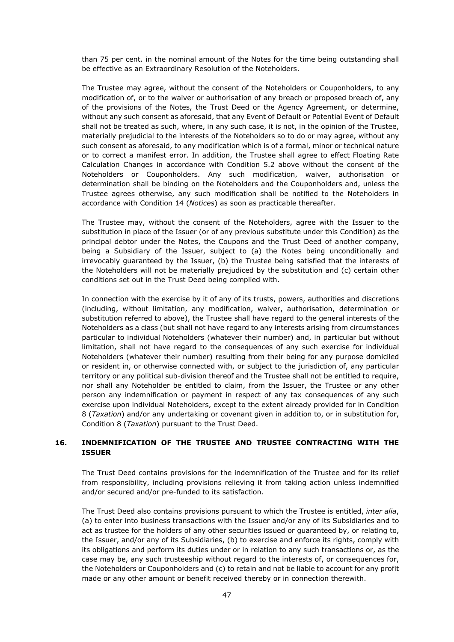than 75 per cent. in the nominal amount of the Notes for the time being outstanding shall be effective as an Extraordinary Resolution of the Noteholders.

The Trustee may agree, without the consent of the Noteholders or Couponholders, to any modification of, or to the waiver or authorisation of any breach or proposed breach of, any of the provisions of the Notes, the Trust Deed or the Agency Agreement, or determine, without any such consent as aforesaid, that any Event of Default or Potential Event of Default shall not be treated as such, where, in any such case, it is not, in the opinion of the Trustee, materially prejudicial to the interests of the Noteholders so to do or may agree, without any such consent as aforesaid, to any modification which is of a formal, minor or technical nature or to correct a manifest error. In addition, the Trustee shall agree to effect Floating Rate Calculation Changes in accordance with Condition 5.2 above without the consent of the Noteholders or Couponholders. Any such modification, waiver, authorisation or determination shall be binding on the Noteholders and the Couponholders and, unless the Trustee agrees otherwise, any such modification shall be notified to the Noteholders in accordance with Condition 14 (*Notices*) as soon as practicable thereafter.

The Trustee may, without the consent of the Noteholders, agree with the Issuer to the substitution in place of the Issuer (or of any previous substitute under this Condition) as the principal debtor under the Notes, the Coupons and the Trust Deed of another company, being a Subsidiary of the Issuer, subject to (a) the Notes being unconditionally and irrevocably guaranteed by the Issuer, (b) the Trustee being satisfied that the interests of the Noteholders will not be materially prejudiced by the substitution and (c) certain other conditions set out in the Trust Deed being complied with.

In connection with the exercise by it of any of its trusts, powers, authorities and discretions (including, without limitation, any modification, waiver, authorisation, determination or substitution referred to above), the Trustee shall have regard to the general interests of the Noteholders as a class (but shall not have regard to any interests arising from circumstances particular to individual Noteholders (whatever their number) and, in particular but without limitation, shall not have regard to the consequences of any such exercise for individual Noteholders (whatever their number) resulting from their being for any purpose domiciled or resident in, or otherwise connected with, or subject to the jurisdiction of, any particular territory or any political sub-division thereof and the Trustee shall not be entitled to require, nor shall any Noteholder be entitled to claim, from the Issuer, the Trustee or any other person any indemnification or payment in respect of any tax consequences of any such exercise upon individual Noteholders, except to the extent already provided for in Condition 8 (*Taxation*) and/or any undertaking or covenant given in addition to, or in substitution for, Condition 8 (*Taxation*) pursuant to the Trust Deed.

#### **16. INDEMNIFICATION OF THE TRUSTEE AND TRUSTEE CONTRACTING WITH THE ISSUER**

The Trust Deed contains provisions for the indemnification of the Trustee and for its relief from responsibility, including provisions relieving it from taking action unless indemnified and/or secured and/or pre-funded to its satisfaction.

The Trust Deed also contains provisions pursuant to which the Trustee is entitled, *inter alia*, (a) to enter into business transactions with the Issuer and/or any of its Subsidiaries and to act as trustee for the holders of any other securities issued or guaranteed by, or relating to, the Issuer, and/or any of its Subsidiaries, (b) to exercise and enforce its rights, comply with its obligations and perform its duties under or in relation to any such transactions or, as the case may be, any such trusteeship without regard to the interests of, or consequences for, the Noteholders or Couponholders and (c) to retain and not be liable to account for any profit made or any other amount or benefit received thereby or in connection therewith.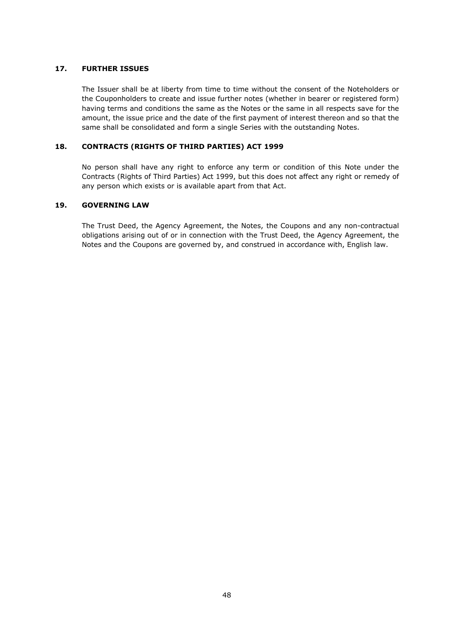#### **17. FURTHER ISSUES**

The Issuer shall be at liberty from time to time without the consent of the Noteholders or the Couponholders to create and issue further notes (whether in bearer or registered form) having terms and conditions the same as the Notes or the same in all respects save for the amount, the issue price and the date of the first payment of interest thereon and so that the same shall be consolidated and form a single Series with the outstanding Notes.

#### **18. CONTRACTS (RIGHTS OF THIRD PARTIES) ACT 1999**

No person shall have any right to enforce any term or condition of this Note under the Contracts (Rights of Third Parties) Act 1999, but this does not affect any right or remedy of any person which exists or is available apart from that Act.

#### **19. GOVERNING LAW**

The Trust Deed, the Agency Agreement, the Notes, the Coupons and any non-contractual obligations arising out of or in connection with the Trust Deed, the Agency Agreement, the Notes and the Coupons are governed by, and construed in accordance with, English law.